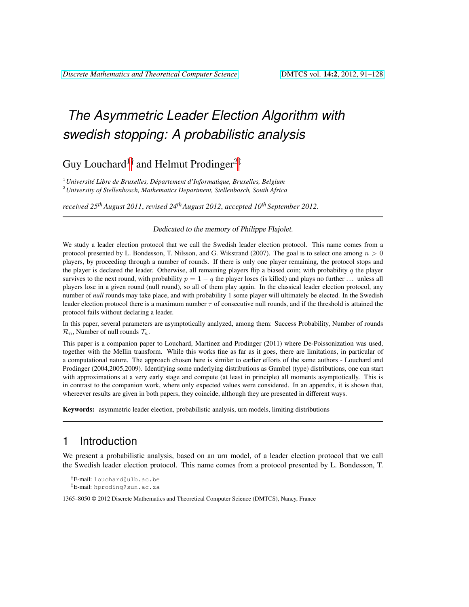# *The Asymmetric Leader Election Algorithm with swedish stopping: A probabilistic analysis*

Guy Louchard<sup>1†</sup> and Helmut Prodinger<sup>2‡</sup>

<sup>1</sup> Université Libre de Bruxelles, Département d'Informatique, Bruxelles, Belgium <sup>2</sup>*University of Stellenbosch, Mathematics Department, Stellenbosch, South Africa*

*received 25thAugust 2011*, *revised 24thAugust 2012*, *accepted 10th September 2012*.

Dedicated to the memory of Philippe Flajolet.

We study a leader election protocol that we call the Swedish leader election protocol. This name comes from a protocol presented by L. Bondesson, T. Nilsson, and G. Wikstrand (2007). The goal is to select one among  $n > 0$ players, by proceeding through a number of rounds. If there is only one player remaining, the protocol stops and the player is declared the leader. Otherwise, all remaining players flip a biased coin; with probability  $q$  the player survives to the next round, with probability  $p = 1 - q$  the player loses (is killed) and plays no further ... unless all players lose in a given round (null round), so all of them play again. In the classical leader election protocol, any number of *null* rounds may take place, and with probability 1 some player will ultimately be elected. In the Swedish leader election protocol there is a maximum number  $\tau$  of consecutive null rounds, and if the threshold is attained the protocol fails without declaring a leader.

In this paper, several parameters are asymptotically analyzed, among them: Success Probability, Number of rounds  $\mathcal{R}_n$ , Number of null rounds  $\mathcal{T}_n$ .

This paper is a companion paper to Louchard, Martinez and Prodinger (2011) where De-Poissonization was used, together with the Mellin transform. While this works fine as far as it goes, there are limitations, in particular of a computational nature. The approach chosen here is similar to earlier efforts of the same authors - Louchard and Prodinger (2004,2005,2009). Identifying some underlying distributions as Gumbel (type) distributions, one can start with approximations at a very early stage and compute (at least in principle) all moments asymptotically. This is in contrast to the companion work, where only expected values were considered. In an appendix, it is shown that, whereever results are given in both papers, they coincide, although they are presented in different ways.

Keywords: asymmetric leader election, probabilistic analysis, urn models, limiting distributions

# <span id="page-0-0"></span>1 Introduction

We present a probabilistic analysis, based on an urn model, of a leader election protocol that we call the Swedish leader election protocol. This name comes from a protocol presented by L. Bondesson, T.

<sup>†</sup>E-mail: louchard@ulb.ac.be

<sup>‡</sup>E-mail: hproding@sun.ac.za

<sup>1365–8050 © 2012</sup> Discrete Mathematics and Theoretical Computer Science (DMTCS), Nancy, France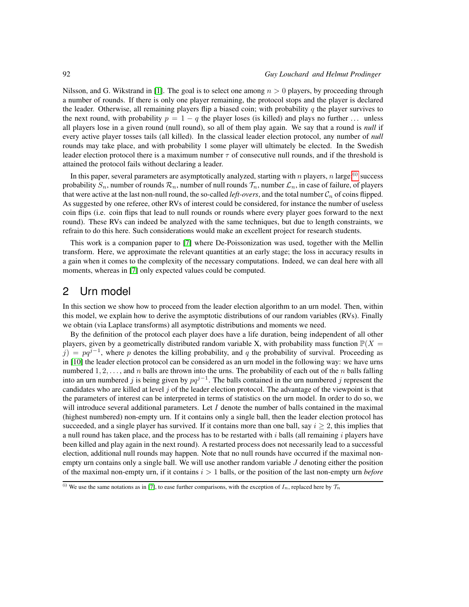Nilsson, and G. Wikstrand in [\[1\]](#page-23-0). The goal is to select one among  $n > 0$  players, by proceeding through a number of rounds. If there is only one player remaining, the protocol stops and the player is declared the leader. Otherwise, all remaining players flip a biased coin; with probability q the player survives to the next round, with probability  $p = 1 - q$  the player loses (is killed) and plays no further ... unless all players lose in a given round (null round), so all of them play again. We say that a round is *null* if every active player tosses tails (all killed). In the classical leader election protocol, any number of *null* rounds may take place, and with probability 1 some player will ultimately be elected. In the Swedish leader election protocol there is a maximum number  $\tau$  of consecutive null rounds, and if the threshold is attained the protocol fails without declaring a leader.

In this paper, several parameters are asymptotically analyzed, starting with n players, n large: $(i)$  success probability  $S_n$ , number of rounds  $\mathcal{R}_n$ , number of null rounds  $\mathcal{T}_n$ , number  $\mathcal{L}_n$ , in case of failure, of players that were active at the last non-null round, the so-called *left-overs*, and the total number  $C_n$  of coins flipped. As suggested by one referee, other RVs of interest could be considered, for instance the number of useless coin flips (i.e. coin flips that lead to null rounds or rounds where every player goes forward to the next round). These RVs can indeed be analyzed with the same techniques, but due to length constraints, we refrain to do this here. Such considerations would make an excellent project for research students.

This work is a companion paper to [\[7\]](#page-24-0) where De-Poissonization was used, together with the Mellin transform. Here, we approximate the relevant quantities at an early stage; the loss in accuracy results in a gain when it comes to the complexity of the necessary computations. Indeed, we can deal here with all moments, whereas in [\[7\]](#page-24-0) only expected values could be computed.

# <span id="page-1-1"></span>2 Urn model

In this section we show how to proceed from the leader election algorithm to an urn model. Then, within this model, we explain how to derive the asymptotic distributions of our random variables (RVs). Finally we obtain (via Laplace transforms) all asymptotic distributions and moments we need.

By the definition of the protocol each player does have a life duration, being independent of all other players, given by a geometrically distributed random variable X, with probability mass function  $\mathbb{P}(X =$  $j$ ) =  $pq^{j-1}$ , where p denotes the killing probability, and q the probability of survival. Proceeding as in [\[10\]](#page-24-1) the leader election protocol can be considered as an urn model in the following way: we have urns numbered  $1, 2, \ldots$ , and n balls are thrown into the urns. The probability of each out of the n balls falling into an urn numbered j is being given by  $pq^{j-1}$ . The balls contained in the urn numbered j represent the candidates who are killed at level j of the leader election protocol. The advantage of the viewpoint is that the parameters of interest can be interpreted in terms of statistics on the urn model. In order to do so, we will introduce several additional parameters. Let  $I$  denote the number of balls contained in the maximal (highest numbered) non-empty urn. If it contains only a single ball, then the leader election protocol has succeeded, and a single player has survived. If it contains more than one ball, say  $i \geq 2$ , this implies that a null round has taken place, and the process has to be restarted with i balls (all remaining i players have been killed and play again in the next round). A restarted process does not necessarily lead to a successful election, additional null rounds may happen. Note that no null rounds have occurred if the maximal nonempty urn contains only a single ball. We will use another random variable  $J$  denoting either the position of the maximal non-empty urn, if it contains  $i > 1$  balls, or the position of the last non-empty urn *before* 

<span id="page-1-0"></span><sup>(</sup>i) We use the same notations as in [\[7\]](#page-24-0), to ease further comparisons, with the exception of  $I_n$ , replaced here by  $\mathcal{T}_n$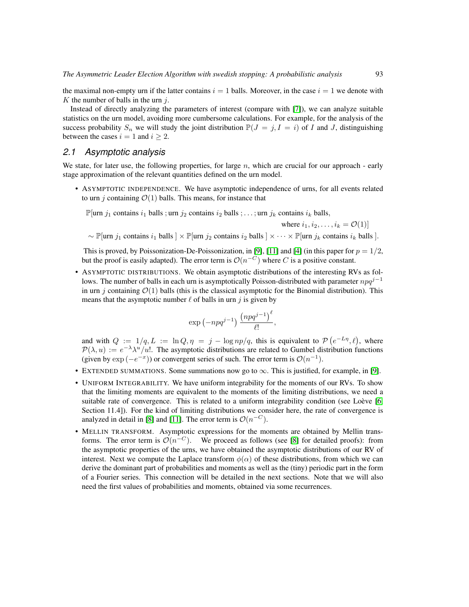the maximal non-empty urn if the latter contains  $i = 1$  balls. Moreover, in the case  $i = 1$  we denote with  $K$  the number of balls in the urn  $j$ .

Instead of directly analyzing the parameters of interest (compare with [\[7\]](#page-24-0)), we can analyze suitable statistics on the urn model, avoiding more cumbersome calculations. For example, for the analysis of the success probability  $S_n$  we will study the joint distribution  $\mathbb{P}(J = j, I = i)$  of I and J, distinguishing between the cases  $i = 1$  and  $i \geq 2$ .

## *2.1 Asymptotic analysis*

We state, for later use, the following properties, for large n, which are crucial for our approach - early stage approximation of the relevant quantities defined on the urn model.

• ASYMPTOTIC INDEPENDENCE. We have asymptotic independence of urns, for all events related to urn j containing  $\mathcal{O}(1)$  balls. This means, for instance that

P[urn  $j_1$  contains  $i_1$  balls ; urn  $j_2$  contains  $i_2$  balls ; ...; urn  $j_k$  contains  $i_k$  balls,

where 
$$
i_1, i_2, \ldots, i_k = \mathcal{O}(1)
$$

 $\sim \mathbb{P}[\text{urn } j_1 \text{ contains } i_1 \text{ balls}] \times \mathbb{P}[\text{urn } j_2 \text{ contains } i_2 \text{ balls}] \times \cdots \times \mathbb{P}[\text{urn } j_k \text{ contains } i_k \text{ balls}].$ 

This is proved, by Poissonization-De-Poissonization, in [\[9\]](#page-24-2), [\[11\]](#page-24-3) and [\[4\]](#page-24-4) (in this paper for  $p = 1/2$ , but the proof is easily adapted). The error term is  $\mathcal{O}(n^{-C})$  where C is a positive constant.

• ASYMPTOTIC DISTRIBUTIONS. We obtain asymptotic distributions of the interesting RVs as follows. The number of balls in each urn is asymptotically Poisson-distributed with parameter  $npq^{j-1}$ in urn j containing  $\mathcal{O}(1)$  balls (this is the classical asymptotic for the Binomial distribution). This means that the asymptotic number  $\ell$  of balls in urn j is given by

$$
\exp\left(-npq^{j-1}\right)\frac{\left(npq^{j-1}\right)^{\ell}}{\ell!},
$$

and with  $Q := 1/q, L := \ln Q, \eta = j - \log np/q$ , this is equivalent to  $P(e^{-L\eta}, \ell)$ , where  $\mathcal{P}(\lambda, u) := e^{-\lambda} \lambda^u/u!$ . The asymptotic distributions are related to Gumbel distribution functions (given by  $\exp(-e^{-x})$ ) or convergent series of such. The error term is  $\mathcal{O}(n^{-1})$ .

- EXTENDED SUMMATIONS. Some summations now go to  $\infty$ . This is justified, for example, in [\[9\]](#page-24-2).
- UNIFORM INTEGRABILITY. We have uniform integrability for the moments of our RVs. To show that the limiting moments are equivalent to the moments of the limiting distributions, we need a suitable rate of convergence. This is related to a uniform integrability condition (see Loève [\[6,](#page-24-5) Section 11.4]). For the kind of limiting distributions we consider here, the rate of convergence is analyzed in detail in [\[8\]](#page-24-6) and [\[11\]](#page-24-3). The error term is  $\mathcal{O}(n^{-C})$ .
- MELLIN TRANSFORM. Asymptotic expressions for the moments are obtained by Mellin transforms. The error term is  $\mathcal{O}(n^{-C})$ . We proceed as follows (see [\[8\]](#page-24-6) for detailed proofs): from the asymptotic properties of the urns, we have obtained the asymptotic distributions of our RV of interest. Next we compute the Laplace transform  $\phi(\alpha)$  of these distributions, from which we can derive the dominant part of probabilities and moments as well as the (tiny) periodic part in the form of a Fourier series. This connection will be detailed in the next sections. Note that we will also need the first values of probabilities and moments, obtained via some recurrences.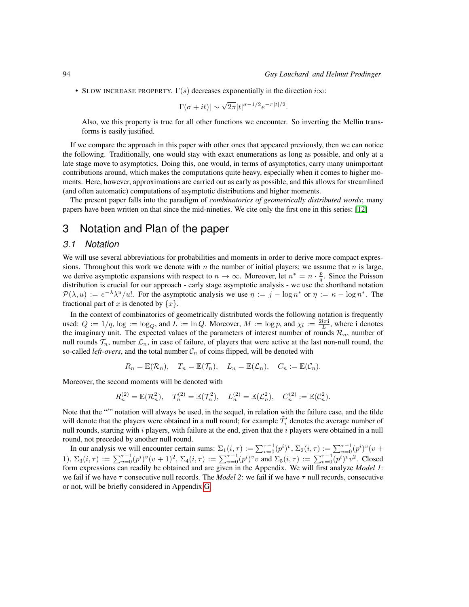• SLOW INCREASE PROPERTY.  $\Gamma(s)$  decreases exponentially in the direction  $i\infty$ :

$$
|\Gamma(\sigma + it)| \sim \sqrt{2\pi} |t|^{\sigma - 1/2} e^{-\pi |t|/2}.
$$

Also, we this property is true for all other functions we encounter. So inverting the Mellin transforms is easily justified.

If we compare the approach in this paper with other ones that appeared previously, then we can notice the following. Traditionally, one would stay with exact enumerations as long as possible, and only at a late stage move to asymptotics. Doing this, one would, in terms of asymptotics, carry many unimportant contributions around, which makes the computations quite heavy, especially when it comes to higher moments. Here, however, approximations are carried out as early as possible, and this allows for streamlined (and often automatic) computations of asymptotic distributions and higher moments.

The present paper falls into the paradigm of *combinatorics of geometrically distributed words*; many papers have been written on that since the mid-nineties. We cite only the first one in this series: [\[12\]](#page-24-7)

## 3 Notation and Plan of the paper

#### *3.1 Notation*

We will use several abbreviations for probabilities and moments in order to derive more compact expressions. Throughout this work we denote with n the number of initial players; we assume that n is large, we derive asymptotic expansions with respect to  $n \to \infty$ . Moreover, let  $n^* = n \cdot \frac{p}{q}$ . Since the Poisson distribution is crucial for our approach - early stage asymptotic analysis - we use the shorthand notation  $\mathcal{P}(\lambda, u) := e^{-\lambda} \lambda^u / u!$ . For the asymptotic analysis we use  $\eta := j - \log n^*$  or  $\eta := \kappa - \log n^*$ . The fractional part of x is denoted by  $\{x\}$ .

In the context of combinatorics of geometrically distributed words the following notation is frequently used:  $Q := 1/q$ ,  $\log := \log_Q$ , and  $L := \ln Q$ . Moreover,  $M := \log p$ , and  $\chi_l := \frac{2l\pi \mathbf{i}}{L}$ , where i denotes the imaginary unit. The expected values of the parameters of interest number of rounds  $\mathcal{R}_n$ , number of null rounds  $\mathcal{T}_n$ , number  $\mathcal{L}_n$ , in case of failure, of players that were active at the last non-null round, the so-called *left-overs*, and the total number  $C_n$  of coins flipped, will be denoted with

$$
R_n = \mathbb{E}(\mathcal{R}_n)
$$
,  $T_n = \mathbb{E}(\mathcal{T}_n)$ ,  $L_n = \mathbb{E}(\mathcal{L}_n)$ ,  $C_n := \mathbb{E}(\mathcal{C}_n)$ .

Moreover, the second moments will be denoted with

$$
R_n^{(2)} = \mathbb{E}(\mathcal{R}_n^2), \quad T_n^{(2)} = \mathbb{E}(\mathcal{T}_n^2), \quad L_n^{(2)} = \mathbb{E}(\mathcal{L}_n^2), \quad C_n^{(2)} := \mathbb{E}(\mathcal{C}_n^2).
$$

Note that the "" notation will always be used, in the sequel, in relation with the failure case, and the tilde will denote that the players were obtained in a null round; for example  $\tilde{T}'_i$  denotes the average number of null rounds, starting with  $i$  players, with failure at the end, given that the  $i$  players were obtained in a null round, not preceded by another null round.

In our analysis we will encounter certain sums:  $\Sigma_1(i,\tau) := \sum_{v=0}^{\tau-1} (p^i)^v$ ,  $\Sigma_2(i,\tau) := \sum_{v=0}^{\tau-1} (p^i)^v (v +$ 1),  $\Sigma_3(i,\tau) := \sum_{v=0}^{\tau-1} (p^i)^v (v+1)^2$ ,  $\Sigma_4(i,\tau) := \sum_{v=0}^{\tau-1} (p^i)^v v$  and  $\Sigma_5(i,\tau) := \sum_{v=0}^{\tau-1} (p^i)^v v^2$ . Closed form expressions can readily be obtained and are given in the Appendix. We will first analyze *Model 1*: we fail if we have  $\tau$  consecutive null records. The *Model 2*: we fail if we have  $\tau$  null records, consecutive or not, will be briefly considered in Appendix [G.](#page-15-0)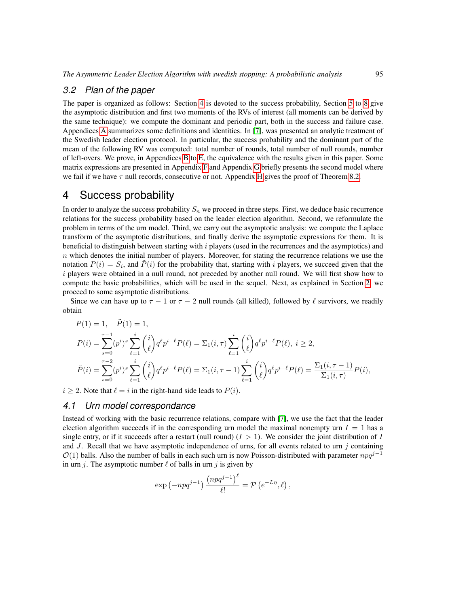#### *3.2 Plan of the paper*

The paper is organized as follows: Section [4](#page-4-0) is devoted to the success probability, Section [5](#page-7-0) to [8](#page-17-0) give the asymptotic distribution and first two moments of the RVs of interest (all moments can be derived by the same technique): we compute the dominant and periodic part, both in the success and failure case. Appendices [A](#page-0-0) summarizes some definitions and identities. In [\[7\]](#page-24-0), was presented an analytic treatment of the Swedish leader election protocol. In particular, the success probability and the dominant part of the mean of the following RV was computed: total number of rounds, total number of null rounds, number of left-overs. We prove, in Appendices [B](#page-1-1) to [E,](#page-7-0) the equivalence with the results given in this paper. Some matrix expressions are presented in Appendix [F](#page-11-0) and Appendix [G](#page-15-0) briefly presents the second model where we fail if we have  $\tau$  null records, consecutive or not. Appendix [H](#page-17-0) gives the proof of Theorem [8.2.](#page-23-1)

## <span id="page-4-0"></span>4 Success probability

In order to analyze the success probability  $S_n$  we proceed in three steps. First, we deduce basic recurrence relations for the success probability based on the leader election algorithm. Second, we reformulate the problem in terms of the urn model. Third, we carry out the asymptotic analysis: we compute the Laplace transform of the asymptotic distributions, and finally derive the asymptotic expressions for them. It is beneficial to distinguish between starting with  $i$  players (used in the recurrences and the asymptotics) and  $n$  which denotes the initial number of players. Moreover, for stating the recurrence relations we use the notation  $P(i) = S_i$ , and  $\tilde{P}(i)$  for the probability that, starting with i players, we succeed given that the i players were obtained in a null round, not preceded by another null round. We will first show how to compute the basic probabilities, which will be used in the sequel. Next, as explained in Section [2,](#page-1-1) we proceed to some asymptotic distributions.

Since we can have up to  $\tau - 1$  or  $\tau - 2$  null rounds (all killed), followed by  $\ell$  survivors, we readily obtain

$$
P(1) = 1, \quad \tilde{P}(1) = 1,
$$
  
\n
$$
P(i) = \sum_{s=0}^{\tau-1} (p^i)^s \sum_{\ell=1}^i {i \choose \ell} q^{\ell} p^{i-\ell} P(\ell) = \sum_1 (i, \tau) \sum_{\ell=1}^i {i \choose \ell} q^{\ell} p^{i-\ell} P(\ell), \quad i \ge 2,
$$
  
\n
$$
\tilde{P}(i) = \sum_{s=0}^{\tau-2} (p^i)^s \sum_{\ell=1}^i {i \choose \ell} q^{\ell} p^{i-\ell} P(\ell) = \sum_1 (i, \tau-1) \sum_{\ell=1}^i {i \choose \ell} q^{\ell} p^{i-\ell} P(\ell) = \frac{\sum_1 (i, \tau-1)}{\sum_1 (i, \tau)} P(i),
$$

 $i \geq 2$ . Note that  $\ell = i$  in the right-hand side leads to  $P(i)$ .

#### *4.1 Urn model correspondance*

Instead of working with the basic recurrence relations, compare with [\[7\]](#page-24-0), we use the fact that the leader election algorithm succeeds if in the corresponding urn model the maximal nonempty urn  $I = 1$  has a single entry, or if it succeeds after a restart (null round)  $(I > 1)$ . We consider the joint distribution of I and J. Recall that we have asymptotic independence of urns, for all events related to urn  $j$  containing  $\mathcal{O}(1)$  balls. Also the number of balls in each such urn is now Poisson-distributed with parameter  $npq^{j-1}$ in urn j. The asymptotic number  $\ell$  of balls in urn j is given by

$$
\exp\left(-npq^{j-1}\right)\frac{\left(npq^{j-1}\right)^{\ell}}{\ell!} = \mathcal{P}\left(e^{-L\eta}, \ell\right),\,
$$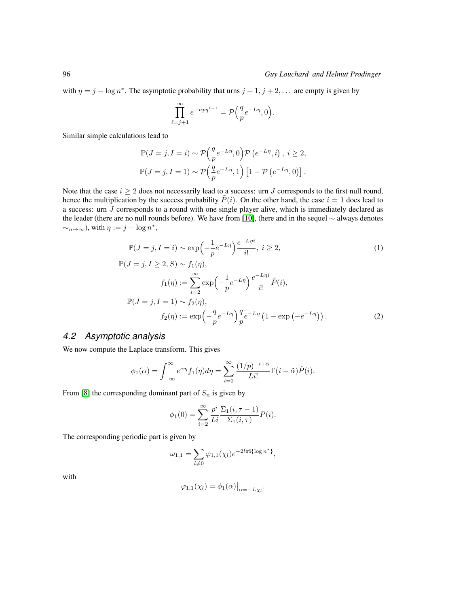with  $\eta = j - \log n^*$ . The asymptotic probability that urns  $j + 1, j + 2, \dots$  are empty is given by

<span id="page-5-1"></span>
$$
\prod_{\ell=j+1}^{\infty} e^{-npq^{\ell-1}} = \mathcal{P}\Big(\frac{q}{p}e^{-L\eta}, 0\Big).
$$

Similar simple calculations lead to

$$
\mathbb{P}(J = j, I = i) \sim \mathcal{P}\left(\frac{q}{p}e^{-L\eta}, 0\right) \mathcal{P}\left(e^{-L\eta}, i\right), i \ge 2,
$$
  

$$
\mathbb{P}(J = j, I = 1) \sim \mathcal{P}\left(\frac{q}{p}e^{-L\eta}, 1\right) \left[1 - \mathcal{P}\left(e^{-L\eta}, 0\right)\right].
$$

Note that the case  $i \geq 2$  does not necessarily lead to a success: urn J corresponds to the first null round, hence the multiplication by the success probability  $\tilde{P}(i)$ . On the other hand, the case  $i = 1$  does lead to a success: urn J corresponds to a round with one single player alive, which is immediately declared as the leader (there are no null rounds before). We have from [\[10\]](#page-24-1), (here and in the sequel ∼ always denotes  $\sim_{n\to\infty}$ ), with  $\eta := j - \log n^*$ ,

$$
\mathbb{P}(J=j, I=i) \sim \exp\left(-\frac{1}{p}e^{-Ln}\right)\frac{e^{-Lni}}{i!}, i \ge 2,
$$
\n
$$
\mathbb{P}(J=j, I \ge 2, S) \sim f_1(\eta),
$$
\n(1)

$$
f_1(\eta) := \sum_{i=2}^{\infty} \exp\left(-\frac{1}{p}e^{-L\eta}\right) \frac{e^{-L\eta i}}{i!} \tilde{P}(i),
$$
  

$$
\mathbb{P}(J = j, I = 1) \sim f_2(\eta),
$$
  

$$
f_2(\eta) := \exp\left(-\frac{q}{p}e^{-L\eta}\right) \frac{q}{p} e^{-L\eta} \left(1 - \exp\left(-e^{-L\eta}\right)\right).
$$
 (2)

## *4.2 Asymptotic analysis*

We now compute the Laplace transform. This gives

$$
\phi_1(\alpha) = \int_{-\infty}^{\infty} e^{\alpha \eta} f_1(\eta) d\eta = \sum_{i=2}^{\infty} \frac{(1/p)^{-i+\tilde{\alpha}}}{Li!} \Gamma(i - \tilde{\alpha}) \tilde{P}(i).
$$

From [\[8\]](#page-24-6) the corresponding dominant part of  $S_n$  is given by

<span id="page-5-0"></span>
$$
\phi_1(0) = \sum_{i=2}^{\infty} \frac{p^i}{Li} \frac{\Sigma_1(i, \tau - 1)}{\Sigma_1(i, \tau)} P(i).
$$

The corresponding periodic part is given by

$$
\omega_{1,1} = \sum_{l \neq 0} \varphi_{1,1}(\chi_l) e^{-2l\pi i {\log n^*}} ,
$$

with

$$
\varphi_{1,1}(\chi_l) = \phi_1(\alpha)\big|_{\alpha=-L\chi_l}.
$$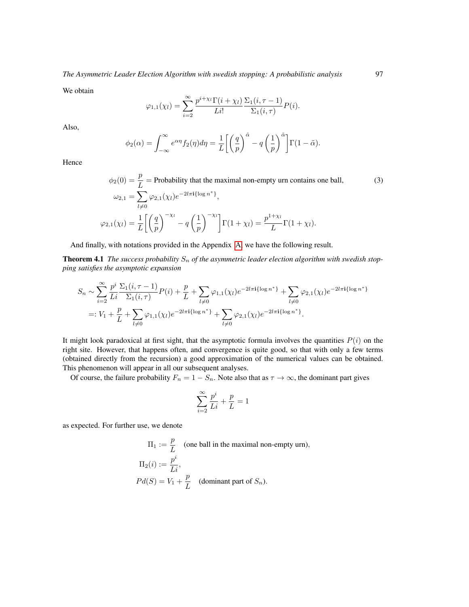We obtain

$$
\varphi_{1,1}(\chi_l) = \sum_{i=2}^{\infty} \frac{p^{i+\chi_l} \Gamma(i+\chi_l)}{Li!} \frac{\Sigma_1(i,\tau-1)}{\Sigma_1(i,\tau)} P(i).
$$

Also,

$$
\phi_2(\alpha) = \int_{-\infty}^{\infty} e^{\alpha \eta} f_2(\eta) d\eta = \frac{1}{L} \left[ \left( \frac{q}{p} \right)^{\tilde{\alpha}} - q \left( \frac{1}{p} \right)^{\tilde{\alpha}} \right] \Gamma(1 - \tilde{\alpha}).
$$

Hence

$$
\phi_2(0) = \frac{p}{L} = \text{Probability that the maximal non-empty urn contains one ball,}
$$
\n
$$
\omega_{2,1} = \sum_{l \neq 0} \varphi_{2,1}(\chi_l) e^{-2l\pi i \{\log n^*\}},
$$
\n
$$
\varphi_{2,1}(\chi_l) = \frac{1}{L} \left[ \left( \frac{q}{p} \right)^{-\chi_l} - q \left( \frac{1}{p} \right)^{-\chi_l} \right] \Gamma(1 + \chi_l) = \frac{p^{1 + \chi_l}}{L} \Gamma(1 + \chi_l).
$$
\n(3)

And finally, with notations provided in the Appendix [A,](#page-0-0) we have the following result.

**Theorem 4.1** The success probability  $S_n$  of the asymmetric leader election algorithm with swedish stop*ping satisfies the asymptotic expansion*

$$
S_n \sim \sum_{i=2}^{\infty} \frac{p^i}{Li} \frac{\Sigma_1(i,\tau-1)}{\Sigma_1(i,\tau)} P(i) + \frac{p}{L} + \sum_{l \neq 0} \varphi_{1,1}(\chi_l) e^{-2l\pi i \{\log n^*\}} + \sum_{l \neq 0} \varphi_{2,1}(\chi_l) e^{-2l\pi i \{\log n^*\}} =: V_1 + \frac{p}{L} + \sum_{l \neq 0} \varphi_{1,1}(\chi_l) e^{-2l\pi i \{\log n^*\}} + \sum_{l \neq 0} \varphi_{2,1}(\chi_l) e^{-2l\pi i \{\log n^*\}}.
$$

It might look paradoxical at first sight, that the asymptotic formula involves the quantities  $P(i)$  on the right site. However, that happens often, and convergence is quite good, so that with only a few terms (obtained directly from the recursion) a good approximation of the numerical values can be obtained. This phenomenon will appear in all our subsequent analyses.

Of course, the failure probability  $F_n = 1 - S_n$ . Note also that as  $\tau \to \infty$ , the dominant part gives

$$
\sum_{i=2}^{\infty}\frac{p^i}{Li}+\frac{p}{L}=1
$$

as expected. For further use, we denote

$$
\Pi_1 := \frac{p}{L}
$$
 (one ball in the maximal non-empty urn),  
\n
$$
\Pi_2(i) := \frac{p^i}{Li},
$$
  
\n
$$
Pd(S) = V_1 + \frac{p}{L}
$$
 (dominant part of  $S_n$ ).

<span id="page-6-0"></span>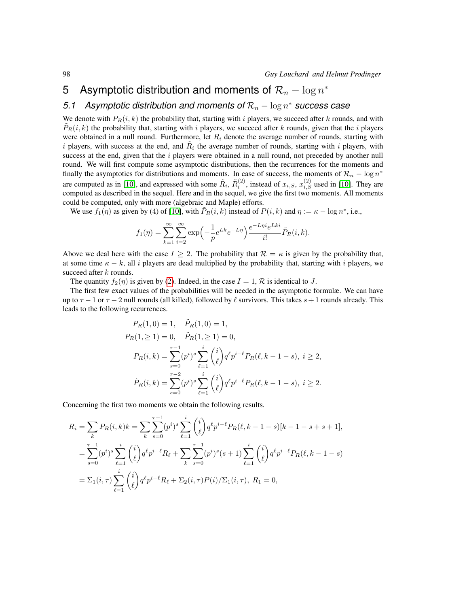# <span id="page-7-0"></span>5 Asymptotic distribution and moments of  $\mathcal{R}_n - \log n^*$

# *5.1* Asymptotic distribution and moments of  $\mathcal{R}_n - \log n^*$  success case

We denote with  $P_R(i, k)$  the probability that, starting with i players, we succeed after k rounds, and with  $P_R(i, k)$  the probability that, starting with i players, we succeed after k rounds, given that the i players were obtained in a null round. Furthermore, let  $R_i$  denote the average number of rounds, starting with i players, with success at the end, and  $R_i$  the average number of rounds, starting with i players, with success at the end, given that the  $i$  players were obtained in a null round, not preceded by another null round. We will first compute some asymptotic distributions, then the recurrences for the moments and finally the asymptotics for distributions and moments. In case of success, the moments of  $\mathcal{R}_n - \log n^*$ are computed as in [\[10\]](#page-24-1), and expressed with some  $\tilde{R}_i$ ,  $\tilde{R}_i^{(2)}$ , instead of  $x_{i,S}$ ,  $x_{i,S}^{(2)}$  used in [10]. They are computed as described in the sequel. Here and in the sequel, we give the first two moments. All moments could be computed, only with more (algebraic and Maple) efforts.

We use  $f_1(\eta)$  as given by (4) of [\[10\]](#page-24-1), with  $\tilde{P}_R(i,k)$  instead of  $P(i,k)$  and  $\eta := \kappa - \log n^*$ , i.e.,

$$
f_1(\eta) = \sum_{k=1}^{\infty} \sum_{i=2}^{\infty} \exp\left(-\frac{1}{p} e^{Lk} e^{-L\eta}\right) \frac{e^{-L\eta i} e^{Lki}}{i!} \tilde{P}_R(i,k).
$$

Above we deal here with the case  $I \geq 2$ . The probability that  $\mathcal{R} = \kappa$  is given by the probability that, at some time  $\kappa - k$ , all i players are dead multiplied by the probability that, starting with i players, we succeed after k rounds.

The quantity  $f_2(\eta)$  is given by [\(2\)](#page-5-0). Indeed, in the case  $I = 1, \mathcal{R}$  is identical to J.

The first few exact values of the probabilities will be needed in the asymptotic formulæ. We can have up to  $\tau - 1$  or  $\tau - 2$  null rounds (all killed), followed by  $\ell$  survivors. This takes  $s + 1$  rounds already. This leads to the following recurrences.

$$
P_R(1,0) = 1, \quad \tilde{P}_R(1,0) = 1,
$$
  
\n
$$
P_R(1, \ge 1) = 0, \quad \tilde{P}_R(1, \ge 1) = 0,
$$
  
\n
$$
P_R(i,k) = \sum_{s=0}^{\tau-1} (p^i)^s \sum_{\ell=1}^i \binom{i}{\ell} q^{\ell} p^{i-\ell} P_R(\ell, k-1-s), \quad i \ge 2,
$$
  
\n
$$
\tilde{P}_R(i,k) = \sum_{s=0}^{\tau-2} (p^i)^s \sum_{\ell=1}^i \binom{i}{\ell} q^{\ell} p^{i-\ell} P_R(\ell, k-1-s), \quad i \ge 2.
$$

Concerning the first two moments we obtain the following results.

$$
R_i = \sum_{k} P_R(i,k)k = \sum_{k} \sum_{s=0}^{\tau-1} (p^i)^s \sum_{\ell=1}^i {i \choose \ell} q^{\ell} p^{i-\ell} P_R(\ell, k-1-s) [k-1-s+s+1],
$$
  
\n
$$
= \sum_{s=0}^{\tau-1} (p^i)^s \sum_{\ell=1}^i {i \choose \ell} q^{\ell} p^{i-\ell} R_{\ell} + \sum_{k} \sum_{s=0}^{\tau-1} (p^i)^s (s+1) \sum_{\ell=1}^i {i \choose \ell} q^{\ell} p^{i-\ell} P_R(\ell, k-1-s)
$$
  
\n
$$
= \sum_{1}^i (i, \tau) \sum_{\ell=1}^i {i \choose \ell} q^{\ell} p^{i-\ell} R_{\ell} + \sum_{2}^i (i, \tau) P(i) / \sum_{1}^i (i, \tau), R_1 = 0,
$$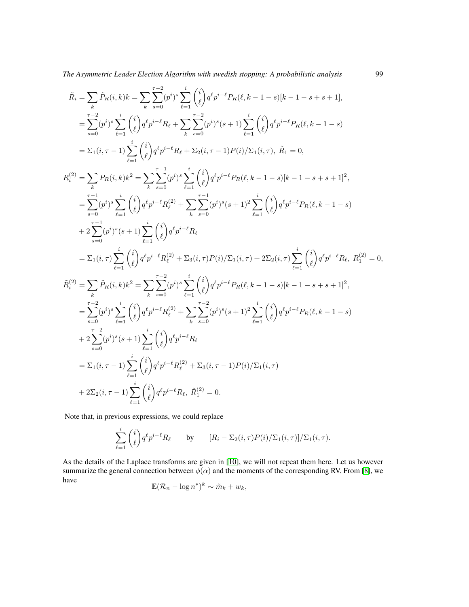*The Asymmetric Leader Election Algorithm with swedish stopping: A probabilistic analysis* 99

$$
\begin{split} \hat{R}_i&=\sum_k \hat{P}_R(i,k)k=\sum_k \sum_{s=0}^{\tau-2} (p^i)^s \sum_{\ell=1}^i \binom{i}{\ell} q^\ell p^{i-\ell} P_R(\ell,k-1-s)[k-1-s+s+1],\\ &=\sum_{s=0}^{\tau-2} (p^i)^s \sum_{\ell=1}^i \binom{i}{\ell} q^\ell p^{i-\ell} R_\ell+\sum_{k} \sum_{s=0}^{\tau-2} (p^i)^s (s+1) \sum_{\ell=1}^i \binom{i}{\ell} q^\ell p^{i-\ell} P_R(\ell,k-1-s)\\ &=\Sigma_1(i,\tau-1) \sum_{\ell=1}^i \binom{i}{\ell} q^\ell p^{i-\ell} R_\ell+\Sigma_2(i,\tau-1) P(i)/\Sigma_1(i,\tau), \ \hat{R}_1=0,\\ R_i^{(2)}&=\sum_k P_R(i,k)k^2=\sum_k \sum_{s=0}^{\tau-1} (p^i)^s \sum_{\ell=1}^i \binom{i}{\ell} q^\ell p^{i-\ell} P_R(\ell,k-1-s)[k-1-s+s+1]^2,\\ &=\sum_{s=0}^{\tau-1} (p^i)^s \sum_{\ell=1}^i \binom{i}{\ell} q^\ell p^{i-\ell} R_\ell^{(2)}+\sum_k \sum_{s=0}^{\tau-1} (p^i)^s (s+1)^2 \sum_{\ell=1}^i \binom{i}{\ell} q^\ell p^{i-\ell} P_R(\ell,k-1-s)\\ &+2 \sum_{s=0}^{\tau-1} (p^i)^s (s+1) \sum_{\ell=1}^i \binom{i}{\ell} q^\ell p^{i-\ell} R_\ell\\ &=\Sigma_1(i,\tau) \sum_{\ell=1}^i \binom{i}{\ell} q^\ell p^{i-\ell} R_\ell^{(2)}+\Sigma_3(i,\tau) P(i)/\Sigma_1(i,\tau)+2\Sigma_2(i,\tau) \sum_{\ell=1}^i \binom{i}{\ell} q^\ell p^{i-\ell} R_\ell, \ R_1^{(2)}=0,\\ \hat{R}_i^{(2)}&=\sum_k \hat{P}_R(i,k)k^2=\sum_k \sum_{s=0}^{\tau-2} (p^i)^s \sum_{\ell=1}^i \binom{i}{\ell} q^\ell p^{i-\ell} P_R(\ell,k-1-s)[k-1-s+s+1]^2,\\ &=\sum_{s=
$$

Note that, in previous expressions, we could replace

$$
\sum_{\ell=1}^i \binom{i}{\ell} q^{\ell} p^{i-\ell} R_{\ell} \qquad \text{by} \qquad [R_i - \Sigma_2(i,\tau) P(i) / \Sigma_1(i,\tau)] / \Sigma_1(i,\tau).
$$

As the details of the Laplace transforms are given in [\[10\]](#page-24-1), we will not repeat them here. Let us however summarize the general connection between  $\phi(\alpha)$  and the moments of the corresponding RV. From [\[8\]](#page-24-6), we have ∗

$$
\mathbb{E}(\mathcal{R}_n - \log n^*)^k \sim \tilde{m}_k + w_k,
$$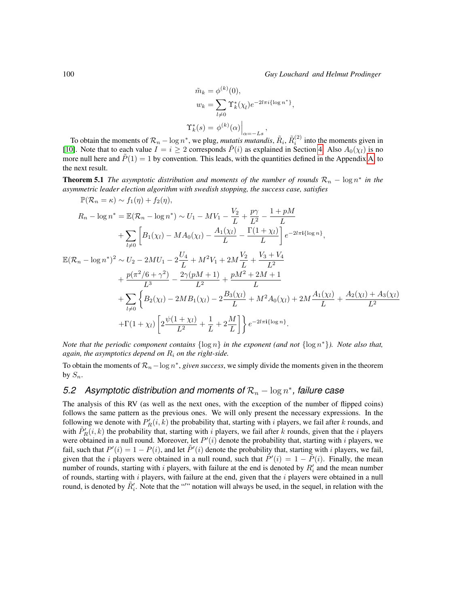$$
\tilde{m}_k = \phi^{(k)}(0),
$$
  
\n
$$
w_k = \sum_{l \neq 0} \Upsilon_k^*(\chi_l) e^{-2l\pi i \{\log n^*\}},
$$
  
\n
$$
\Upsilon_k^*(s) = \phi^{(k)}(\alpha) \Big|_{\alpha = -Ls},
$$

To obtain the moments of  $\mathcal{R}_n - \log n^*$ , we plug, *mutatis mutandis*,  $\tilde{R}_i$ ,  $\tilde{R}_i^{(2)}$  into the moments given in [\[10\]](#page-24-1). Note that to each value  $I = i \geq 2$  corresponds  $\tilde{P}(i)$  as explained in Section [4.](#page-4-0) Also  $A_0(\chi_i)$  is no more null here and  $P(1) = 1$  by convention. This leads, with the quantities defined in the Appendix [A,](#page-0-0) to the next result.

<span id="page-9-0"></span>**Theorem 5.1** *The asymptotic distribution and moments of the number of rounds*  $\mathcal{R}_n - \log n^*$  *in the asymmetric leader election algorithm with swedish stopping, the success case, satisfies*

$$
\mathbb{P}(\mathcal{R}_n = \kappa) \sim f_1(\eta) + f_2(\eta),
$$
\n
$$
R_n - \log n^* = \mathbb{E}(\mathcal{R}_n - \log n^*) \sim U_1 - MV_1 - \frac{V_2}{L} + \frac{p\gamma}{L^2} - \frac{1 + pM}{L}
$$
\n
$$
+ \sum_{l \neq 0} \left[ B_1(\chi_l) - MA_0(\chi_l) - \frac{A_1(\chi_l)}{L} - \frac{\Gamma(1 + \chi_l)}{L} \right] e^{-2l\pi i \{\log n\}},
$$
\n
$$
\mathbb{E}(\mathcal{R}_n - \log n^*)^2 \sim U_2 - 2MU_1 - 2\frac{U_4}{L} + M^2V_1 + 2M\frac{V_2}{L} + \frac{V_3 + V_4}{L^2}
$$
\n
$$
+ \frac{p(\pi^2/6 + \gamma^2)}{L^3} - \frac{2\gamma(pM + 1)}{L^2} + \frac{pM^2 + 2M + 1}{L}
$$
\n
$$
+ \sum_{l \neq 0} \left\{ B_2(\chi_l) - 2MB_1(\chi_l) - 2\frac{B_3(\chi_l)}{L} + M^2A_0(\chi_l) + 2M\frac{A_1(\chi_l)}{L} + \frac{A_2(\chi_l) + A_3(\chi_l)}{L^2} + \Gamma(1 + \chi_l) \left[ 2\frac{\psi(1 + \chi_l)}{L^2} + \frac{1}{L} + 2\frac{M}{L} \right] \right\} e^{-2l\pi i \{\log n\}}.
$$

*Note that the periodic component contains* {log n} *in the exponent (and not* {log n <sup>∗</sup>}*). Note also that, again, the asymptotics depend on*  $R_i$  *on the right-side.* 

To obtain the moments of  $\mathcal{R}_n$  –  $\log n^*$ , *given success*, we simply divide the moments given in the theorem by  $S_n$ .

# *5.2* Asymptotic distribution and moments of  $\mathcal{R}_n$  – log n<sup>\*</sup>, failure case

The analysis of this RV (as well as the next ones, with the exception of the number of flipped coins) follows the same pattern as the previous ones. We will only present the necessary expressions. In the following we denote with  $P'_R(i, k)$  the probability that, starting with i players, we fail after k rounds, and with  $\tilde{P}'_R(i,k)$  the probability that, starting with i players, we fail after k rounds, given that the i players were obtained in a null round. Moreover, let  $P'(i)$  denote the probability that, starting with i players, we fail, such that  $P'(i) = 1 - P(i)$ , and let  $\tilde{P}'(i)$  denote the probability that, starting with i players, we fail, given that the i players were obtained in a null round, such that  $\tilde{P}'(i) = 1 - \tilde{P}(i)$ . Finally, the mean number of rounds, starting with i players, with failure at the end is denoted by  $R_i'$  and the mean number of rounds, starting with  $i$  players, with failure at the end, given that the  $i$  players were obtained in a null round, is denoted by  $\tilde{R}'_i$ . Note that the "" notation will always be used, in the sequel, in relation with the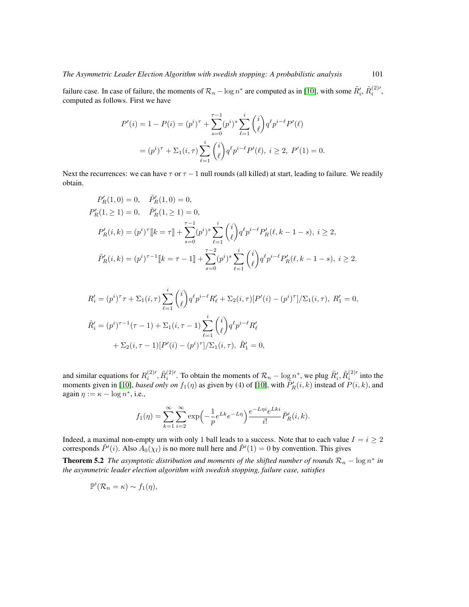failure case. In case of failure, the moments of  $\mathcal{R}_n - \log n^*$  are computed as in [\[10\]](#page-24-1), with some  $\tilde{R}'_i$ ,  $\tilde{R}^{(2)'}_i$ , computed as follows. First we have

$$
P'(i) = 1 - P(i) = (p^i)^{\tau} + \sum_{s=0}^{\tau-1} (p^i)^s \sum_{\ell=1}^i \binom{i}{\ell} q^{\ell} p^{i-\ell} P'(\ell)
$$
  
=  $(p^i)^{\tau} + \sum_1 (i, \tau) \sum_{\ell=1}^i \binom{i}{\ell} q^{\ell} p^{i-\ell} P'(\ell), i \ge 2, P'(1) = 0.$ 

Next the recurrences: we can have  $\tau$  or  $\tau$  - 1 null rounds (all killed) at start, leading to failure. We readily obtain.

$$
P'_R(1,0) = 0, \quad \tilde{P}'_R(1,0) = 0,
$$
  
\n
$$
P'_R(1, \ge 1) = 0, \quad \tilde{P}'_R(1, \ge 1) = 0,
$$
  
\n
$$
P'_R(i,k) = (p^i)^\tau [k = \tau] + \sum_{s=0}^{\tau-1} (p^i)^s \sum_{\ell=1}^i \binom{i}{\ell} q^\ell p^{i-\ell} P'_R(\ell, k-1-s), \ i \ge 2,
$$
  
\n
$$
\tilde{P}'_R(i,k) = (p^i)^{\tau-1} [k = \tau - 1] + \sum_{s=0}^{\tau-2} (p^i)^s \sum_{\ell=1}^i \binom{i}{\ell} q^\ell p^{i-\ell} P'_R(\ell, k-1-s), \ i \ge 2.
$$

$$
R'_{i} = (p^{i})^{\tau} \tau + \Sigma_{1}(i, \tau) \sum_{\ell=1}^{i} {i \choose \ell} q^{\ell} p^{i-\ell} R'_{\ell} + \Sigma_{2}(i, \tau) [P'(i) - (p^{i})^{\tau}] / \Sigma_{1}(i, \tau), R'_{1} = 0,
$$
  

$$
\tilde{R}'_{i} = (p^{i})^{\tau-1} (\tau - 1) + \Sigma_{1}(i, \tau - 1) \sum_{\ell=1}^{i} {i \choose \ell} q^{\ell} p^{i-\ell} R'_{\ell}
$$
  

$$
+ \Sigma_{2}(i, \tau - 1) [P'(i) - (p^{i})^{\tau}] / \Sigma_{1}(i, \tau), \tilde{R}'_{1} = 0,
$$

and similar equations for  $R_i^{(2)'}$ ,  $\tilde{R}_i^{(2)'}$ . To obtain the moments of  $\mathcal{R}_n - \log n^*$ , we plug  $\tilde{R}_i'$ ,  $\tilde{R}_i^{(2)'}$  into the moments given in [\[10\]](#page-24-1), *based only on*  $f_1(\eta)$  as given by (4) of [10], with  $\tilde{P}'_R(i,k)$  instead of  $P(i,k)$ , and again  $\eta := \kappa - \log n^*$ , i.e.,

<span id="page-10-0"></span>
$$
f_1(\eta) = \sum_{k=1}^{\infty} \sum_{i=2}^{\infty} \exp\left(-\frac{1}{p}e^{Lk}e^{-L\eta}\right) \frac{e^{-L\eta i}e^{Lki}}{i!} \tilde{P}'_R(i,k).
$$

Indeed, a maximal non-empty urn with only 1 ball leads to a success. Note that to each value  $I = i \geq 2$ corresponds  $\tilde{P}'(i)$ . Also  $\tilde{A}_0(\chi_l)$  is no more null here and  $\tilde{P}'(1) = 0$  by convention. This gives

**Theorem 5.2** *The asymptotic distribution and moments of the shifted number of rounds*  $\mathcal{R}_n - \log n^*$  *in the asymmetric leader election algorithm with swedish stopping, failure case, satisfies*

$$
\mathbb{P}'(\mathcal{R}_n = \kappa) \sim f_1(\eta),
$$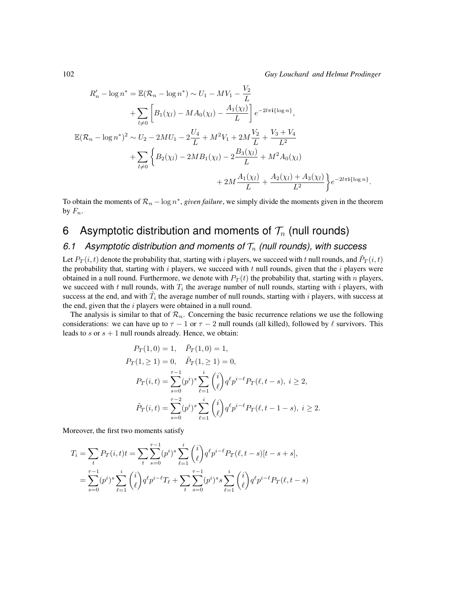$$
R'_{n} - \log n^{*} = \mathbb{E}(\mathcal{R}_{n} - \log n^{*}) \sim U_{1} - MV_{1} - \frac{V_{2}}{L}
$$
  
+  $\sum_{l \neq 0} \left[ B_{1}(\chi_{l}) - MA_{0}(\chi_{l}) - \frac{A_{1}(\chi_{l})}{L} \right] e^{-2l\pi i \{\log n\}},$   

$$
\mathbb{E}(\mathcal{R}_{n} - \log n^{*})^{2} \sim U_{2} - 2MU_{1} - 2\frac{U_{4}}{L} + M^{2}V_{1} + 2M\frac{V_{2}}{L} + \frac{V_{3} + V_{4}}{L^{2}}
$$
  
+  $\sum_{l \neq 0} \left\{ B_{2}(\chi_{l}) - 2MB_{1}(\chi_{l}) - 2\frac{B_{3}(\chi_{l})}{L} + M^{2}A_{0}(\chi_{l}) + 2M\frac{A_{1}(\chi_{l})}{L} + \frac{A_{2}(\chi_{l}) + A_{3}(\chi_{l})}{L^{2}} \right\} e^{-2l\pi i \{\log n\}}.$ 

To obtain the moments of  $\mathcal{R}_n - \log n^*$ , *given failure*, we simply divide the moments given in the theorem by  $F_n$ .

# <span id="page-11-0"></span>6 Asymptotic distribution and moments of  $\mathcal{T}_n$  (null rounds)

## 6.1 Asymptotic distribution and moments of  $\mathcal{T}_n$  (null rounds), with success

Let  $P_T(i,t)$  denote the probability that, starting with  $i$  players, we succeed with  $t$  null rounds, and  $\tilde{P}_T(i,t)$ the probability that, starting with  $i$  players, we succeed with  $t$  null rounds, given that the  $i$  players were obtained in a null round. Furthermore, we denote with  $P_T(t)$  the probability that, starting with n players, we succeed with t null rounds, with  $T_i$  the average number of null rounds, starting with i players, with success at the end, and with  $\tilde{T}_i$  the average number of null rounds, starting with i players, with success at the end, given that the  $i$  players were obtained in a null round.

The analysis is similar to that of  $\mathcal{R}_n$ . Concerning the basic recurrence relations we use the following considerations: we can have up to  $\tau - 1$  or  $\tau - 2$  null rounds (all killed), followed by  $\ell$  survivors. This leads to  $s$  or  $s + 1$  null rounds already. Hence, we obtain:

$$
P_T(1,0) = 1, \quad \tilde{P}_T(1,0) = 1,
$$
  
\n
$$
P_T(1, \ge 1) = 0, \quad \tilde{P}_T(1, \ge 1) = 0,
$$
  
\n
$$
P_T(i,t) = \sum_{s=0}^{\tau-1} (p^i)^s \sum_{\ell=1}^i \binom{i}{\ell} q^{\ell} p^{i-\ell} P_T(\ell, t-s), \quad i \ge 2,
$$
  
\n
$$
\tilde{P}_T(i,t) = \sum_{s=0}^{\tau-2} (p^i)^s \sum_{\ell=1}^i \binom{i}{\ell} q^{\ell} p^{i-\ell} P_T(\ell, t-1-s), \quad i \ge 2.
$$

Moreover, the first two moments satisfy

$$
T_i = \sum_t P_T(i, t) t = \sum_t \sum_{s=0}^{\tau-1} (p^i)^s \sum_{\ell=1}^i {i \choose \ell} q^\ell p^{i-\ell} P_T(\ell, t-s) [t-s+s],
$$
  
= 
$$
\sum_{s=0}^{\tau-1} (p^i)^s \sum_{\ell=1}^i {i \choose \ell} q^\ell p^{i-\ell} T_\ell + \sum_t \sum_{s=0}^{\tau-1} (p^i)^s s \sum_{\ell=1}^i {i \choose \ell} q^\ell p^{i-\ell} P_T(\ell, t-s)
$$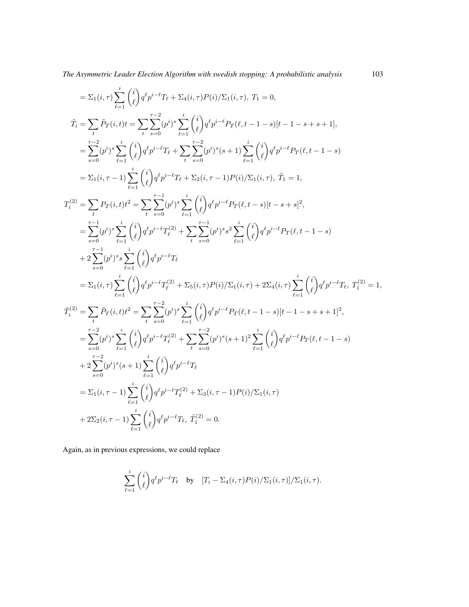*The Asymmetric Leader Election Algorithm with swedish stopping: A probabilistic analysis* 103

$$
\begin{split} & = \Sigma_{1}(i,\tau)\sum_{\ell=1}^{i}\binom{i}{\ell}q^{\ell}p^{i-\ell}T_{\ell}+\Sigma_{4}(i,\tau)P(i)/\Sigma_{1}(i,\tau),\; T_{1}=0,\\ & \tilde{T}_{i}=\sum_{t}\bar{P}_{T}(i,t)t=\sum_{t}\sum_{s=0}^{r-2}(p^{i})^{s}\sum_{\ell=1}^{i}\binom{i}{\ell}q^{\ell}p^{i-\ell}P_{T}(\ell,t-1-s)[t-1-s+s+1],\\ & =\sum_{s=0}^{r-2}(p^{i})^{s}\sum_{\ell=1}^{i}\binom{i}{\ell}q^{\ell}p^{i-\ell}T_{\ell}+\sum_{t}\sum_{s=0}^{r-2}(p^{i})^{s}(s+1)\sum_{\ell=1}^{i}\binom{i}{\ell}q^{\ell}p^{i-\ell}P_{T}(\ell,t-1-s)\\ &=\Sigma_{1}(i,\tau-1)\sum_{\ell=1}^{i}\binom{i}{\ell}q^{\ell}p^{i-\ell}T_{t}+\Sigma_{2}(i,\tau-1)P(i)/\Sigma_{1}(i,\tau),\; \tilde{T}_{1}=1,\\ & T_{i}^{(2)}=\sum_{t}P_{T}(i,t)t^{2}=\sum_{t}\sum_{s=0}^{r-1}(p^{i})^{s}\sum_{\ell=1}^{i}\binom{i}{\ell}q^{\ell}p^{i-\ell}P_{T}(\ell,t-s)[t-s+s]^{2},\\ & =\sum_{s=0}^{r-1}(p^{i})^{s}\sum_{\ell=1}^{i}\binom{i}{\ell}q^{\ell}p^{i-\ell}T_{\ell}^{(2)}+\sum_{t}\sum_{s=0}^{r-1}(p^{i})^{s}s^{2}\sum_{\ell=1}^{i}\binom{i}{\ell}q^{\ell}p^{i-\ell}P_{T}(\ell,t-1-s)\\ & +2\sum_{s=0}^{r-1}(p^{i})^{s}\sum_{\ell=1}^{i}\binom{i}{\ell}q^{\ell}p^{i-\ell}T_{\ell}^{(2)}+\sum_{t}\sum_{s=0}^{r-1}(p^{i})^{s}s^{2}\sum_{\ell=1}^{i}\binom{i}{\ell}q^{\ell}p^{i-\ell}P_{T}(\ell,t-1-s)\\ & +2\sum_{\ell=0}^{r-1}(p^{i})^{s}\sum_{\ell=1}^{i}\binom{i}{\ell}q^{\ell}p^{
$$

Again, as in previous expressions, we could replace

$$
\sum_{\ell=1}^i \binom{i}{\ell} q^{\ell} p^{i-\ell} T_{\ell} \quad \text{by} \quad [T_i - \Sigma_4(i,\tau) P(i) / \Sigma_1(i,\tau)] / \Sigma_1(i,\tau).
$$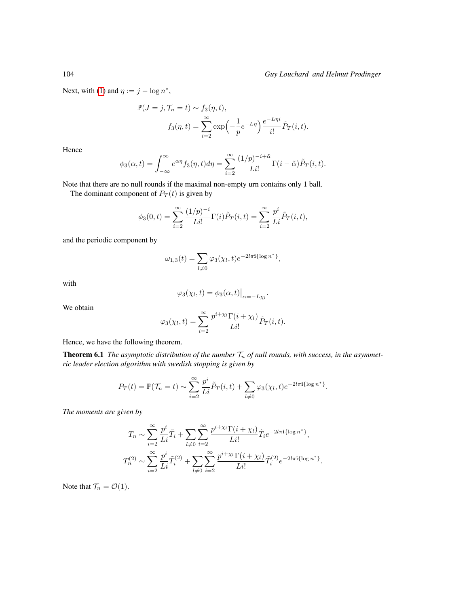Next, with [\(1\)](#page-5-1) and  $\eta := j - \log n^*$ ,

$$
\mathbb{P}(J = j, \mathcal{T}_n = t) \sim f_3(\eta, t),
$$

$$
f_3(\eta, t) = \sum_{i=2}^{\infty} \exp\left(-\frac{1}{p}e^{-L\eta}\right) \frac{e^{-L\eta i}}{i!} \tilde{P}_T(i, t).
$$

Hence

$$
\phi_3(\alpha, t) = \int_{-\infty}^{\infty} e^{\alpha \eta} f_3(\eta, t) d\eta = \sum_{i=2}^{\infty} \frac{(1/p)^{-i+\tilde{\alpha}}}{Li!} \Gamma(i - \tilde{\alpha}) \tilde{P}_T(i, t).
$$

Note that there are no null rounds if the maximal non-empty urn contains only 1 ball.

The dominant component of  $P_T(t)$  is given by

$$
\phi_3(0,t) = \sum_{i=2}^{\infty} \frac{(1/p)^{-i}}{Li!} \Gamma(i) \tilde{P}_T(i,t) = \sum_{i=2}^{\infty} \frac{p^i}{Li} \tilde{P}_T(i,t),
$$

and the periodic component by

$$
\omega_{1,3}(t) = \sum_{l \neq 0} \varphi_3(\chi_l, t) e^{-2l\pi i {\log n}^*},
$$

with

$$
\varphi_3(\chi_l,t) = \phi_3(\alpha,t)|_{\alpha=-L\chi_l}.
$$

We obtain

$$
\varphi_3(\chi_l, t) = \sum_{i=2}^{\infty} \frac{p^{i+\chi_l} \Gamma(i+\chi_l)}{Li!} \tilde{P}_T(i,t).
$$

Hence, we have the following theorem.

**Theorem 6.1** *The asymptotic distribution of the number*  $T_n$  *of null rounds, with success, in the asymmetric leader election algorithm with swedish stopping is given by*

$$
P_T(t) = \mathbb{P}(\mathcal{T}_n = t) \sim \sum_{i=2}^{\infty} \frac{p^i}{Li} \tilde{P}_T(i, t) + \sum_{l \neq 0} \varphi_3(\chi_l, t) e^{-2l\pi i {\log n^*}}.
$$

*The moments are given by*

$$
T_n \sim \sum_{i=2}^{\infty} \frac{p^i}{Li} \tilde{T}_i + \sum_{l \neq 0} \sum_{i=2}^{\infty} \frac{p^{i+\chi_l} \Gamma(i+\chi_l)}{Li!} \tilde{T}_i e^{-2l\pi i {\log n^*}},
$$
  

$$
T_n^{(2)} \sim \sum_{i=2}^{\infty} \frac{p^i}{Li} \tilde{T}_i^{(2)} + \sum_{l \neq 0} \sum_{i=2}^{\infty} \frac{p^{i+\chi_l} \Gamma(i+\chi_l)}{Li!} \tilde{T}_i^{(2)} e^{-2l\pi i {\log n^*}}.
$$

Note that  $\mathcal{T}_n = \mathcal{O}(1)$ .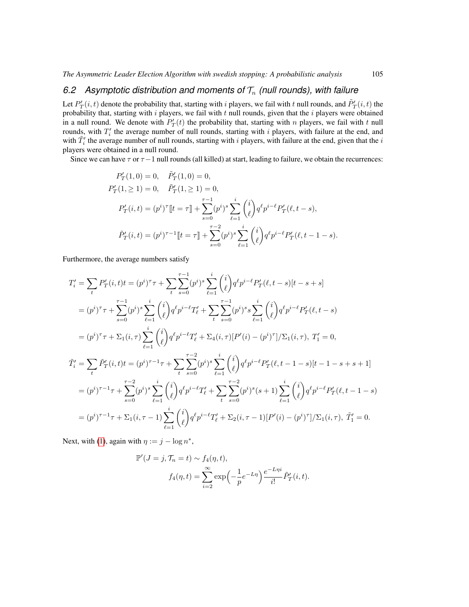# 6.2 Asymptotic distribution and moments of  $\mathcal{T}_n$  (null rounds), with failure

Let  $P'_T(i,t)$  denote the probability that, starting with i players, we fail with t null rounds, and  $\tilde{P}'_T(i,t)$  the probability that, starting with  $i$  players, we fail with  $t$  null rounds, given that the  $i$  players were obtained in a null round. We denote with  $P'_T(t)$  the probability that, starting with n players, we fail with t null rounds, with  $T_i'$  the average number of null rounds, starting with i players, with failure at the end, and with  $\tilde{T}'_i$  the average number of null rounds, starting with i players, with failure at the end, given that the i players were obtained in a null round.

Since we can have  $\tau$  or  $\tau-1$  null rounds (all killed) at start, leading to failure, we obtain the recurrences:

$$
P'_T(1,0) = 0, \quad \tilde{P}'_T(1,0) = 0,
$$
  
\n
$$
P'_T(1, \ge 1) = 0, \quad \tilde{P}'_T(1, \ge 1) = 0,
$$
  
\n
$$
P'_T(i,t) = (p^i)^\top [t = \tau] + \sum_{s=0}^{\tau-1} (p^i)^s \sum_{\ell=1}^i {i \choose \ell} q^\ell p^{i-\ell} P'_T(\ell, t-s),
$$
  
\n
$$
\tilde{P}'_T(i,t) = (p^i)^{\tau-1} [t = \tau] + \sum_{s=0}^{\tau-2} (p^i)^s \sum_{\ell=1}^i {i \choose \ell} q^\ell p^{i-\ell} P'_T(\ell, t-1-s).
$$

Furthermore, the average numbers satisfy

$$
T'_{i} = \sum_{t} P'_{T}(i, t)t = (p^{i})^{\tau} \tau + \sum_{t} \sum_{s=0}^{\tau-1} (p^{i})^{s} \sum_{\ell=1}^{i} {i \choose \ell} q^{\ell} p^{i-\ell} P'_{T}(\ell, t-s) [t-s+s]
$$
  
\n
$$
= (p^{i})^{\tau} \tau + \sum_{s=0}^{\tau-1} (p^{i})^{s} \sum_{\ell=1}^{i} {i \choose \ell} q^{\ell} p^{i-\ell} T'_{\ell} + \sum_{t} \sum_{s=0}^{\tau-1} (p^{i})^{s} s \sum_{\ell=1}^{i} {i \choose \ell} q^{\ell} p^{i-\ell} P'_{T}(\ell, t-s)
$$
  
\n
$$
= (p^{i})^{\tau} \tau + \sum_{1} (i, \tau) \sum_{\ell=1}^{i} {i \choose \ell} q^{\ell} p^{i-\ell} T'_{\ell} + \sum_{4} (i, \tau) [P'(i) - (p^{i})^{\tau}] / \sum_{1} (i, \tau), T'_{1} = 0,
$$
  
\n
$$
\tilde{T}'_{i} = \sum_{t} \tilde{P}'_{T}(i, t)t = (p^{i})^{\tau-1} \tau + \sum_{t} \sum_{s=0}^{\tau-2} (p^{i})^{s} \sum_{\ell=1}^{i} {i \choose \ell} q^{\ell} p^{i-\ell} P'_{T}(\ell, t-1-s) [t-1-s+s+1]
$$
  
\n
$$
= (p^{i})^{\tau-1} \tau + \sum_{s=0}^{\tau-2} (p^{i})^{s} \sum_{\ell=1}^{i} {i \choose \ell} q^{\ell} p^{i-\ell} T'_{\ell} + \sum_{t} \sum_{s=0}^{\tau-2} (p^{i})^{s} (s+1) \sum_{\ell=1}^{i} {i \choose \ell} q^{\ell} p^{i-\ell} P'_{T}(\ell, t-1-s)
$$
  
\n
$$
= (p^{i})^{\tau-1} \tau + \sum_{1} (i, \tau-1) \sum_{\ell=1}^{i} {i \choose \ell} q^{\ell} p^{i-\ell} T'_{\ell} + \sum_{2} (i, \tau-1) [P'(i) - (p^{i})^{\tau}] /
$$

Next, with [\(1\)](#page-5-1), again with  $\eta := j - \log n^*$ ,

$$
\mathbb{P}'(J=j, \mathcal{T}_n = t) \sim f_4(\eta, t),
$$

$$
f_4(\eta, t) = \sum_{i=2}^{\infty} \exp\left(-\frac{1}{p}e^{-L\eta}\right) \frac{e^{-L\eta i}}{i!} \tilde{P}'_T(i, t).
$$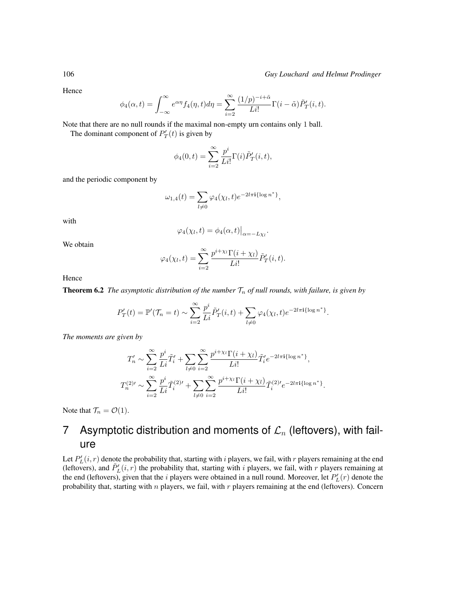Hence

$$
\phi_4(\alpha, t) = \int_{-\infty}^{\infty} e^{\alpha \eta} f_4(\eta, t) d\eta = \sum_{i=2}^{\infty} \frac{(1/p)^{-i+\tilde{\alpha}}}{Li!} \Gamma(i - \tilde{\alpha}) \tilde{P}_T'(i, t).
$$

Note that there are no null rounds if the maximal non-empty urn contains only 1 ball.

The dominant component of  $P'_T(t)$  is given by

$$
\phi_4(0,t) = \sum_{i=2}^{\infty} \frac{p^i}{Li!} \Gamma(i) \tilde{P}_T'(i,t),
$$

and the periodic component by

$$
\omega_{1,4}(t) = \sum_{l \neq 0} \varphi_4(\chi_l, t) e^{-2l\pi i {\log n}^*},
$$

with

$$
\varphi_4(\chi_l,t) = \phi_4(\alpha,t)|_{\alpha=-L\chi_l}.
$$

We obtain

$$
\varphi_4(\chi_l,t)=\sum_{i=2}^\infty \frac{p^{i+\chi_l}\Gamma(i+\chi_l)}{Li!}\tilde{P}_T'(i,t).
$$

Hence

**Theorem 6.2** *The asymptotic distribution of the number*  $\mathcal{T}_n$  *of null rounds, with failure, is given by* 

$$
P'_T(t) = \mathbb{P}'(\mathcal{T}_n = t) \sim \sum_{i=2}^{\infty} \frac{p^i}{Li} \tilde{P}'_T(i,t) + \sum_{l \neq 0} \varphi_4(\chi_l, t) e^{-2l\pi i {\log n^*}}.
$$

*The moments are given by*

$$
T'_{n} \sim \sum_{i=2}^{\infty} \frac{p^{i}}{Li} \tilde{T}'_{i} + \sum_{l \neq 0} \sum_{i=2}^{\infty} \frac{p^{i+\chi_{l}} \Gamma(i+\chi_{l})}{Li!} \tilde{T}'_{i} e^{-2l\pi i \{\log n^{*}\}},
$$
  

$$
T_{n}^{(2)\prime} \sim \sum_{i=2}^{\infty} \frac{p^{i}}{Li} \tilde{T}'_{i}^{(2)\prime} + \sum_{l \neq 0} \sum_{i=2}^{\infty} \frac{p^{i+\chi_{l}} \Gamma(i+\chi_{l})}{Li!} \tilde{T}'_{i}^{(2)\prime} e^{-2l\pi i \{\log n^{*}\}}.
$$

Note that  $\mathcal{T}_n = \mathcal{O}(1)$ .

# <span id="page-15-0"></span>7 Asymptotic distribution and moments of  $\mathcal{L}_n$  (leftovers), with failure

Let  $P'_{L}(i, r)$  denote the probability that, starting with i players, we fail, with r players remaining at the end (leftovers), and  $\tilde{P}'_L(i, r)$  the probability that, starting with i players, we fail, with r players remaining at the end (leftovers), given that the *i* players were obtained in a null round. Moreover, let  $P'_L(r)$  denote the probability that, starting with  $n$  players, we fail, with  $r$  players remaining at the end (leftovers). Concern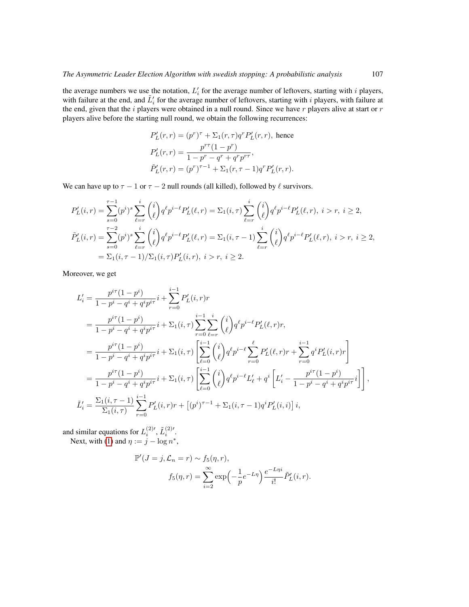the average numbers we use the notation,  $L_i$  for the average number of leftovers, starting with i players, with failure at the end, and  $\tilde{L}'_i$  for the average number of leftovers, starting with i players, with failure at the end, given that the  $i$  players were obtained in a null round. Since we have  $r$  players alive at start or  $r$ players alive before the starting null round, we obtain the following recurrences:

$$
P'_L(r,r) = (p^r)^{\tau} + \Sigma_1(r,\tau)q^r P'_L(r,r), \text{ hence}
$$
  
\n
$$
P'_L(r,r) = \frac{p^{r\tau}(1-p^r)}{1-p^r - q^r + q^r p^{r\tau}},
$$
  
\n
$$
\tilde{P}'_L(r,r) = (p^r)^{\tau-1} + \Sigma_1(r,\tau-1)q^r P'_L(r,r).
$$

We can have up to  $\tau - 1$  or  $\tau - 2$  null rounds (all killed), followed by  $\ell$  survivors.

$$
P'_L(i,r) = \sum_{s=0}^{\tau-1} (p^i)^s \sum_{\ell=r}^i {i \choose \ell} q^\ell p^{i-\ell} P'_L(\ell,r) = \Sigma_1(i,\tau) \sum_{\ell=r}^i {i \choose \ell} q^\ell p^{i-\ell} P'_L(\ell,r), \ i > r, \ i \ge 2,
$$
  

$$
\tilde{P}'_L(i,r) = \sum_{s=0}^{\tau-2} (p^i)^s \sum_{\ell=r}^i {i \choose \ell} q^\ell p^{i-\ell} P'_L(\ell,r) = \Sigma_1(i,\tau-1) \sum_{\ell=r}^i {i \choose \ell} q^\ell p^{i-\ell} P'_L(\ell,r), \ i > r, \ i \ge 2,
$$
  

$$
= \Sigma_1(i,\tau-1) / \Sigma_1(i,\tau) P'_L(i,r), \ i > r, \ i \ge 2.
$$

Moreover, we get

$$
L'_{i} = \frac{p^{i\tau}(1-p^{i})}{1-p^{i}-q^{i}+q^{i}p^{i\tau}}i + \sum_{r=0}^{i-1} P'_{L}(i,r)r
$$
  
\n
$$
= \frac{p^{i\tau}(1-p^{i})}{1-p^{i}-q^{i}+q^{i}p^{i\tau}}i + \sum_{r=0}^{i-1} (i,\tau) \sum_{r=0}^{i-1} \sum_{\ell=r}^{i} {i \choose \ell} q^{\ell} p^{i-\ell} P'_{L}(\ell,r)r,
$$
  
\n
$$
= \frac{p^{i\tau}(1-p^{i})}{1-p^{i}-q^{i}+q^{i}p^{i\tau}}i + \sum_{1}(i,\tau) \left[ \sum_{\ell=0}^{i-1} {i \choose \ell} q^{\ell} p^{i-\ell} \sum_{r=0}^{\ell} P'_{L}(\ell,r)r + \sum_{r=0}^{i-1} q^{i} P'_{L}(i,r)r \right]
$$
  
\n
$$
= \frac{p^{i\tau}(1-p^{i})}{1-p^{i}-q^{i}+q^{i}p^{i\tau}}i + \sum_{1}(i,\tau) \left[ \sum_{\ell=0}^{i-1} {i \choose \ell} q^{\ell} p^{i-\ell} L'_{\ell} + q^{i} \left[ L'_{i} - \frac{p^{i\tau}(1-p^{i})}{1-p^{i}-q^{i}+q^{i}p^{i\tau}}i \right] \right],
$$
  
\n
$$
\tilde{L}'_{i} = \frac{\sum_{1}(i,\tau-1)}{\sum_{1}(i,\tau)} \sum_{r=0}^{i-1} P'_{L}(i,r)r + [(p^{i})^{\tau-1} + \sum_{1}(i,\tau-1)q^{i} P'_{L}(i,i)]i,
$$

and similar equations for  $L_i^{(2)'}$ ,  $\tilde{L}_i^{(2)'}$ . Next, with [\(1\)](#page-5-1) and  $\eta := j - \log n^*$ ,

$$
\mathbb{P}'(J=j,\mathcal{L}_n=r) \sim f_5(\eta,r),
$$

$$
f_5(\eta,r) = \sum_{i=2}^{\infty} \exp\left(-\frac{1}{p}e^{-L\eta}\right) \frac{e^{-L\eta i}}{i!} \tilde{P}'_L(i,r).
$$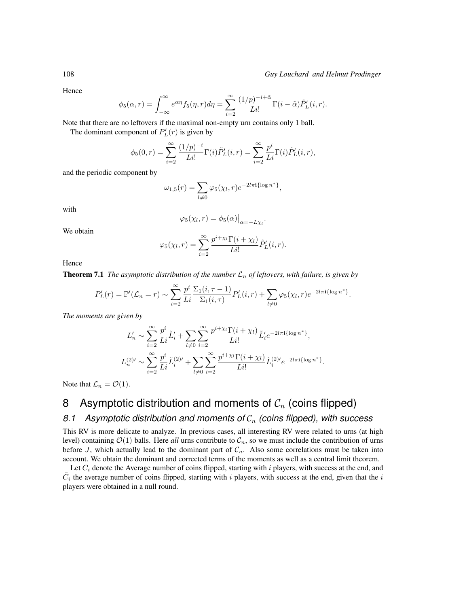Hence

$$
\phi_5(\alpha, r) = \int_{-\infty}^{\infty} e^{\alpha \eta} f_5(\eta, r) d\eta = \sum_{i=2}^{\infty} \frac{(1/p)^{-i+\tilde{\alpha}}}{Li!} \Gamma(i - \tilde{\alpha}) \tilde{P}_L'(i, r).
$$

Note that there are no leftovers if the maximal non-empty urn contains only 1 ball.

The dominant component of  $P'_{L}(r)$  is given by

$$
\phi_5(0,r) = \sum_{i=2}^{\infty} \frac{(1/p)^{-i}}{Li!} \Gamma(i) \tilde{P}_L'(i,r) = \sum_{i=2}^{\infty} \frac{p^i}{Li} \Gamma(i) \tilde{P}_L'(i,r),
$$

and the periodic component by

$$
\omega_{1,5}(r) = \sum_{l \neq 0} \varphi_5(\chi_l, r) e^{-2l\pi i {\log n}^*},
$$

with

$$
\varphi_5(\chi_l, r) = \phi_5(\alpha)|_{\alpha = -L\chi_l}.
$$

We obtain

$$
\varphi_5(\chi_l, r) = \sum_{i=2}^{\infty} \frac{p^{i+\chi_l} \Gamma(i+\chi_l)}{Li!} \tilde{P}'_L(i,r).
$$

Hence

**Theorem 7.1** *The asymptotic distribution of the number*  $\mathcal{L}_n$  *of leftovers, with failure, is given by* 

$$
P'_L(r) = \mathbb{P}'(\mathcal{L}_n = r) \sim \sum_{i=2}^{\infty} \frac{p^i}{Li} \frac{\Sigma_1(i, \tau - 1)}{\Sigma_1(i, \tau)} P'_L(i, r) + \sum_{l \neq 0} \varphi_5(\chi_l, r) e^{-2l\pi i {\log n^*}}.
$$

*The moments are given by*

$$
L'_n \sim \sum_{i=2}^{\infty} \frac{p^i}{Li} \tilde{L}'_i + \sum_{l \neq 0} \sum_{i=2}^{\infty} \frac{p^{i+\chi_l} \Gamma(i+\chi_l)}{Li!} \tilde{L}'_i e^{-2l\pi i {\log n^*}} ,
$$
  

$$
L_n^{(2)\prime} \sim \sum_{i=2}^{\infty} \frac{p^i}{Li} \tilde{L}'_i^{(2)\prime} + \sum_{l \neq 0} \sum_{i=2}^{\infty} \frac{p^{i+\chi_l} \Gamma(i+\chi_l)}{Li!} \tilde{L}'_i^{(2)\prime} e^{-2l\pi i {\log n^*}} .
$$

Note that  $\mathcal{L}_n = \mathcal{O}(1)$ .

# <span id="page-17-0"></span>8 Asymptotic distribution and moments of  $C_n$  (coins flipped)

## 8.1 Asymptotic distribution and moments of  $C_n$  (coins flipped), with success

This RV is more delicate to analyze. In previous cases, all interesting RV were related to urns (at high level) containing  $\mathcal{O}(1)$  balls. Here *all* urns contribute to  $\mathcal{C}_n$ , so we must include the contribution of urns before J, which actually lead to the dominant part of  $C_n$ . Also some correlations must be taken into account. We obtain the dominant and corrected terms of the moments as well as a central limit theorem.

Let  $C_i$  denote the Average number of coins flipped, starting with i players, with success at the end, and  $C_i$  the average number of coins flipped, starting with i players, with success at the end, given that the i players were obtained in a null round.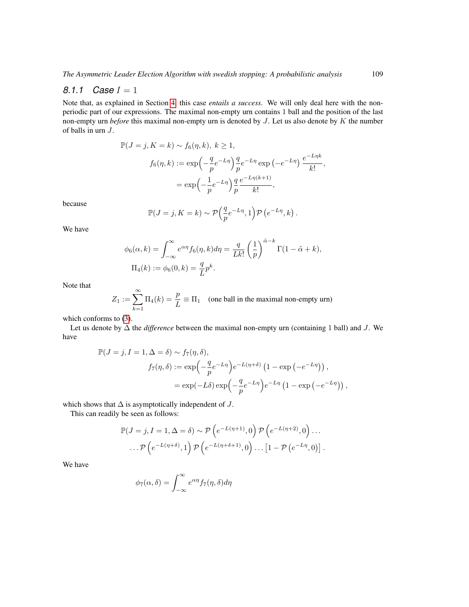#### *8.1.1 Case* I = 1

Note that, as explained in Section [4,](#page-4-0) this case *entails a success*. We will only deal here with the nonperiodic part of our expressions. The maximal non-empty urn contains 1 ball and the position of the last non-empty urn *before* this maximal non-empty urn is denoted by J. Let us also denote by K the number of balls in urn J.

$$
\mathbb{P}(J = j, K = k) \sim f_6(\eta, k), k \ge 1,
$$
  

$$
f_6(\eta, k) := \exp\left(-\frac{q}{p}e^{-L\eta}\right)\frac{q}{p}e^{-L\eta}\exp\left(-e^{-L\eta}\right)\frac{e^{-L\eta k}}{k!},
$$
  

$$
= \exp\left(-\frac{1}{p}e^{-L\eta}\right)\frac{q}{p}\frac{e^{-L\eta(k+1)}}{k!},
$$

because

$$
\mathbb{P}(J = j, K = k) \sim \mathcal{P}\left(\frac{q}{p}e^{-L\eta}, 1\right)\mathcal{P}\left(e^{-L\eta}, k\right).
$$

We have

$$
\phi_6(\alpha, k) = \int_{-\infty}^{\infty} e^{\alpha \eta} f_6(\eta, k) d\eta = \frac{q}{Lk!} \left(\frac{1}{p}\right)^{\tilde{\alpha} - k} \Gamma(1 - \tilde{\alpha} + k),
$$
  

$$
\Pi_4(k) := \phi_6(0, k) = \frac{q}{L} p^k.
$$

Note that

$$
Z_1 := \sum_{k=1}^{\infty} \Pi_4(k) = \frac{p}{L} \equiv \Pi_1 \quad \text{(one ball in the maximal non-empty urn)}
$$

which conforms to [\(3\)](#page-6-0).

Let us denote by ∆ the *difference* between the maximal non-empty urn (containing 1 ball) and J. We have

$$
\mathbb{P}(J = j, I = 1, \Delta = \delta) \sim f_7(\eta, \delta),
$$
  
\n
$$
f_7(\eta, \delta) := \exp\left(-\frac{q}{p}e^{-L\eta}\right)e^{-L(\eta + \delta)}\left(1 - \exp\left(-e^{-L\eta}\right)\right),
$$
  
\n
$$
= \exp(-L\delta)\exp\left(-\frac{q}{p}e^{-L\eta}\right)e^{-L\eta}\left(1 - \exp\left(-e^{-L\eta}\right)\right),
$$

which shows that  $\Delta$  is asymptotically independent of  $J$ .

This can readily be seen as follows:

$$
\mathbb{P}(J = j, I = 1, \Delta = \delta) \sim \mathcal{P}\left(e^{-L(\eta+1)}, 0\right) \mathcal{P}\left(e^{-L(\eta+2)}, 0\right) \dots
$$

$$
\dots \mathcal{P}\left(e^{-L(\eta+\delta)}, 1\right) \mathcal{P}\left(e^{-L(\eta+\delta+1)}, 0\right) \dots \left[1 - \mathcal{P}\left(e^{-L\eta}, 0\right)\right].
$$

We have

$$
\phi_7(\alpha, \delta) = \int_{-\infty}^{\infty} e^{\alpha \eta} f_7(\eta, \delta) d\eta
$$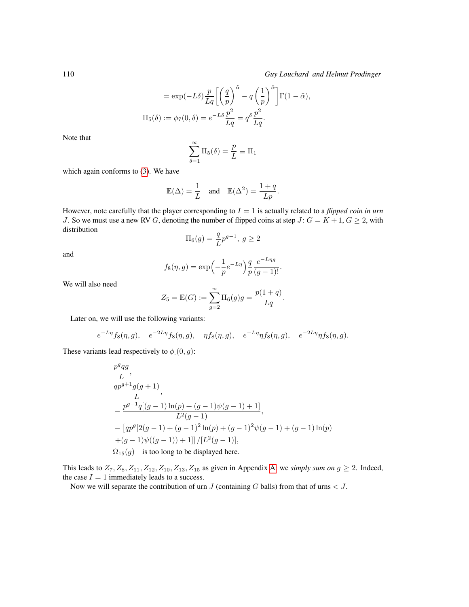$$
= \exp(-L\delta) \frac{p}{Lq} \left[ \left( \frac{q}{p} \right)^{\tilde{\alpha}} - q \left( \frac{1}{p} \right)^{\tilde{\alpha}} \right] \Gamma(1 - \tilde{\alpha}),
$$
  

$$
\Pi_5(\delta) := \phi_7(0, \delta) = e^{-L\delta} \frac{p^2}{Lq} = q^{\delta} \frac{p^2}{Lq}.
$$

Note that

$$
\sum_{\delta=1}^{\infty} \Pi_5(\delta) = \frac{p}{L} \equiv \Pi_1
$$

which again conforms to [\(3\)](#page-6-0). We have

$$
\mathbb{E}(\Delta) = \frac{1}{L} \quad \text{and} \quad \mathbb{E}(\Delta^2) = \frac{1+q}{Lp}.
$$

However, note carefully that the player corresponding to I = 1 is actually related to a *flipped coin in urn* J. So we must use a new RV G, denoting the number of flipped coins at step J:  $G = K + 1, G \geq 2$ , with distribution

$$
\Pi_6(g)=\frac{q}{L}p^{g-1},\;g\geq 2
$$

and

$$
f_8(\eta, g) = \exp\left(-\frac{1}{p}e^{-L\eta}\right)\frac{q}{p}\frac{e^{-L\eta g}}{(g-1)!}.
$$

We will also need

$$
Z_5 = \mathbb{E}(G) := \sum_{g=2}^{\infty} \Pi_6(g)g = \frac{p(1+q)}{Lq}.
$$

Later on, we will use the following variants:

$$
e^{-L\eta}f_8(\eta,g), \quad e^{-2L\eta}f_8(\eta,g), \quad \eta f_8(\eta,g), \quad e^{-L\eta}\eta f_8(\eta,g), \quad e^{-2L\eta}\eta f_8(\eta,g).
$$

These variants lead respectively to  $\phi$  (0, g):

$$
\label{eq:11} \begin{split} &\frac{p^g q g}{L},\\ &\frac{qp^{g+1}g(g+1)}{L},\\ &-\frac{p^{g-1}q[(g-1)\ln(p)+(g-1)\psi(g-1)+1]}{L^2(g-1)},\\ &-\left[qp^g[2(g-1)+(g-1)^2\ln(p)+(g-1)^2\psi(g-1)+(g-1)\ln(p)\right.\\ &\left.+(g-1)\psi((g-1))+1]\right]/[L^2(g-1)],\\ &\Omega_{15}(g)\quad\text{is too long to be displayed here}. \end{split}
$$

This leads to  $Z_7, Z_8, Z_{11}, Z_{12}, Z_{10}, Z_{13}, Z_{15}$  as given in Appendix [A:](#page-0-0) we *simply sum on*  $g \geq 2$ . Indeed, the case  $I = 1$  immediately leads to a success.

Now we will separate the contribution of urn  $J$  (containing  $G$  balls) from that of urns  $J$ .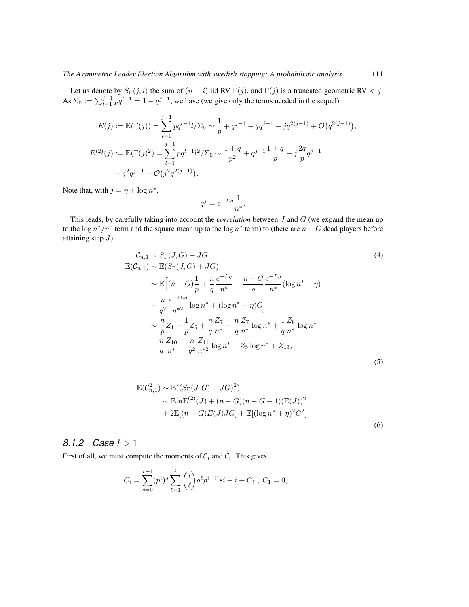Let us denote by  $S_{\Gamma}(j, i)$  the sum of  $(n - i)$  iid RV  $\Gamma(j)$ , and  $\Gamma(j)$  is a truncated geometric RV < j. As  $\Sigma_0 := \sum_{l=1}^{j-1} pq^{l-1} = 1 - q^{j-1}$ , we have (we give only the terms needed in the sequel)

$$
E(j) := \mathbb{E}(\Gamma(j)) = \sum_{l=1}^{j-1} pq^{l-1} l/\Sigma_0 \sim \frac{1}{p} + q^{j-1} - jq^{j-1} - jq^{2(j-1)} + \mathcal{O}(q^{2(j-1)}),
$$
  
\n
$$
E^{(2)}(j) := \mathbb{E}(\Gamma(j)^2) = \sum_{l=1}^{j-1} pq^{l-1} l^2/\Sigma_0 \sim \frac{1+q}{p^2} + q^{j-1} \frac{1+q}{p} - j \frac{2q}{p} q^{j-1}
$$
  
\n
$$
- j^2 q^{j-1} + \mathcal{O}(j^2 q^{2(j-1)}).
$$

Note that, with  $j = \eta + \log n^*$ ,

<span id="page-20-0"></span>
$$
q^j = e^{-L\eta} \frac{1}{n^*}.
$$

This leads, by carefully taking into account the *correlation* between J and G (we expand the mean up to the  $\log n^*/n^*$  term and the square mean up to the  $\log n^*$  term) to (there are  $n-G$  dead players before attaining step  $J$ )

$$
\mathcal{C}_{n,1} \sim S_{\Gamma}(J, G) + JG,
$$
\n
$$
\mathbb{E}(\mathcal{C}_{n,1}) \sim \mathbb{E}(S_{\Gamma}(J, G) + JG),
$$
\n
$$
\sim \mathbb{E}\Big[(n - G)\frac{1}{p} + \frac{n}{q}\frac{e^{-L\eta}}{n^*} - \frac{n - G}{q}\frac{e^{-L\eta}}{n^*}(\log n^* + \eta))
$$
\n
$$
-\frac{n}{q^2}\frac{e^{-2L\eta}}{n^{*2}}\log n^* + (\log n^* + \eta)G\Big]
$$
\n
$$
\sim \frac{n}{p}Z_1 - \frac{1}{p}Z_5 + \frac{n}{q}\frac{Z_7}{n^*} - \frac{n}{q}\frac{Z_7}{n^*}\log n^* + \frac{1}{q}\frac{Z_8}{n^*}\log n^*
$$
\n
$$
-\frac{n}{q}\frac{Z_{10}}{n^*} - \frac{n}{q^2}\frac{Z_{11}}{n^{*2}}\log n^* + Z_5\log n^* + Z_{13},
$$
\n(5)

$$
\mathbb{E}(\mathcal{C}_{n,1}^2) \sim \mathbb{E}((S_{\Gamma}(J,G) + JG)^2) \sim \mathbb{E}[n\mathbb{E}^{(2)}(J) + (n - G)(n - G - 1)(\mathbb{E}(J))^2 \n+ 2\mathbb{E}[(n - G)E(J)JG] + \mathbb{E}[(\log n^* + \eta)^2 G^2].
$$
\n(6)

## *8.1.2 Case* I > 1

First of all, we must compute the moments of  $C_i$  and  $\tilde{C}_i$ . This gives

$$
C_i = \sum_{s=0}^{\tau-1} (p^i)^s \sum_{\ell=1}^i \binom{i}{\ell} q^{\ell} p^{i-\ell} [si + i + C_{\ell}], \ C_1 = 0,
$$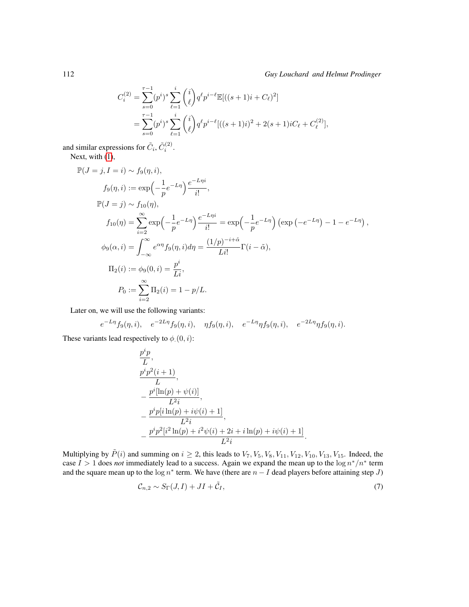$$
C_i^{(2)} = \sum_{s=0}^{\tau-1} (p^i)^s \sum_{\ell=1}^i \binom{i}{\ell} q^{\ell} p^{i-\ell} \mathbb{E}[((s+1)i + C_{\ell})^2]
$$
  
= 
$$
\sum_{s=0}^{\tau-1} (p^i)^s \sum_{\ell=1}^i \binom{i}{\ell} q^{\ell} p^{i-\ell} [((s+1)i)^2 + 2(s+1)iC_{\ell} + C_{\ell}^{(2)}],
$$

and similar expressions for  $\tilde{C}_i$ ,  $\tilde{C}_i^{(2)}$ .

Next, with [\(1\)](#page-5-1),

$$
\mathbb{P}(J = j, I = i) \sim f_9(\eta, i),
$$
  
\n
$$
f_9(\eta, i) := \exp\left(-\frac{1}{p}e^{-L\eta}\right)\frac{e^{-L\eta i}}{i!},
$$
  
\n
$$
\mathbb{P}(J = j) \sim f_{10}(\eta),
$$
  
\n
$$
f_{10}(\eta) = \sum_{i=2}^{\infty} \exp\left(-\frac{1}{p}e^{-L\eta}\right)\frac{e^{-L\eta i}}{i!} = \exp\left(-\frac{1}{p}e^{-L\eta}\right)\left(\exp\left(-e^{-L\eta}\right) - 1 - e^{-L\eta}\right),
$$
  
\n
$$
\phi_9(\alpha, i) = \int_{-\infty}^{\infty} e^{\alpha \eta} f_9(\eta, i) d\eta = \frac{(1/p)^{-i+\tilde{\alpha}}}{Li!} \Gamma(i - \tilde{\alpha}),
$$
  
\n
$$
\Pi_2(i) := \phi_9(0, i) = \frac{p^i}{Li},
$$
  
\n
$$
P_0 := \sum_{i=2}^{\infty} \Pi_2(i) = 1 - p/L.
$$

Later on, we will use the following variants:

$$
e^{-L\eta} f_9(\eta, i), \quad e^{-2L\eta} f_9(\eta, i), \quad \eta f_9(\eta, i), \quad e^{-L\eta} \eta f_9(\eta, i), \quad e^{-2L\eta} \eta f_9(\eta, i).
$$

These variants lead respectively to  $\phi$  (0, *i*):

$$
\frac{p^{i}p}{L},
$$
\n
$$
p^{i}p^{2}(i + 1)
$$
\n
$$
-\frac{p^{i}[\ln(p) + \psi(i)]}{L^{2}i},
$$
\n
$$
-\frac{p^{i}p[i\ln(p) + i\psi(i) + 1]}{L^{2}i},
$$
\n
$$
-\frac{p^{i}p^{2}[i^{2}\ln(p) + i^{2}\psi(i) + 2i + i\ln(p) + i\psi(i) + 1]}{L^{2}i}.
$$

Multiplying by  $\tilde{P}(i)$  and summing on  $i \geq 2$ , this leads to  $V_7$ ,  $V_5$ ,  $V_8$ ,  $V_{11}$ ,  $V_{12}$ ,  $V_{10}$ ,  $V_{13}$ ,  $V_{15}$ . Indeed, the case  $I > 1$  does *not* immediately lead to a success. Again we expand the mean up to the  $\log n^*/n^*$  term and the square mean up to the  $\log n^*$  term. We have (there are  $n - I$  dead players before attaining step J)

<span id="page-21-0"></span>
$$
\mathcal{C}_{n,2} \sim S_{\Gamma}(J,I) + JI + \tilde{\mathcal{C}}_I,\tag{7}
$$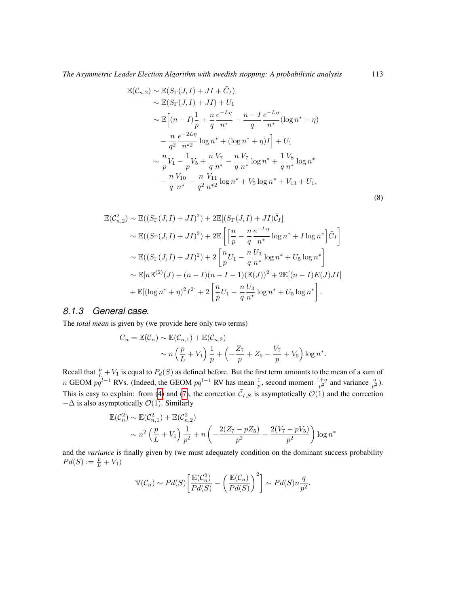$$
\mathbb{E}(\mathcal{C}_{n,2}) \sim \mathbb{E}(S_{\Gamma}(J,I) + JI + \tilde{C}_{I})
$$
\n
$$
\sim \mathbb{E}(S_{\Gamma}(J,I) + JI) + U_{1}
$$
\n
$$
\sim \mathbb{E}\Big[(n - I)\frac{1}{p} + \frac{n}{q}\frac{e^{-L\eta}}{n^{*}} - \frac{n - I}{q}\frac{e^{-L\eta}}{n^{*}}(\log n^{*} + \eta)
$$
\n
$$
-\frac{n}{q^{2}}\frac{e^{-2L\eta}}{n^{*2}}\log n^{*} + (\log n^{*} + \eta)I\Big] + U_{1}
$$
\n
$$
\sim \frac{n}{p}V_{1} - \frac{1}{p}V_{5} + \frac{n}{q}\frac{V_{7}}{n^{*}} - \frac{n}{q}\frac{V_{7}}{n^{*}}\log n^{*} + \frac{1}{q}\frac{V_{8}}{n^{*}}\log n^{*}
$$
\n
$$
-\frac{n}{q}\frac{V_{10}}{n^{*}} - \frac{n}{q^{2}}\frac{V_{11}}{n^{*2}}\log n^{*} + V_{5}\log n^{*} + V_{13} + U_{1},
$$
\n(8)

$$
\mathbb{E}(\mathcal{C}_{n,2}^{2}) \sim \mathbb{E}((S_{\Gamma}(J,I) + J I)^{2}) + 2\mathbb{E}[(S_{\Gamma}(J,I) + J I)\tilde{\mathcal{C}}_{I}]
$$
\n
$$
\sim \mathbb{E}((S_{\Gamma}(J,I) + J I)^{2}) + 2\mathbb{E}\left[\left[\frac{n}{p} - \frac{n}{q}\frac{e^{-L\eta}}{n^{*}}\log n^{*} + I\log n^{*}\right]\tilde{\mathcal{C}}_{I}\right]
$$
\n
$$
\sim \mathbb{E}((S_{\Gamma}(J,I) + J I)^{2}) + 2\left[\frac{n}{p}U_{1} - \frac{n}{q}\frac{U_{3}}{n^{*}}\log n^{*} + U_{5}\log n^{*}\right]
$$
\n
$$
\sim \mathbb{E}[n\mathbb{E}^{(2)}(J) + (n - I)(n - I - 1)(\mathbb{E}(J))^{2} + 2\mathbb{E}[(n - I)E(J)J I]
$$
\n
$$
+ \mathbb{E}[(\log n^{*} + \eta)^{2}I^{2}] + 2\left[\frac{n}{p}U_{1} - \frac{n}{q}\frac{U_{3}}{n^{*}}\log n^{*} + U_{5}\log n^{*}\right].
$$

#### *8.1.3 General case.*

The *total mean* is given by (we provide here only two terms)

$$
C_n = \mathbb{E}(\mathcal{C}_n) \sim \mathbb{E}(\mathcal{C}_{n,1}) + \mathbb{E}(\mathcal{C}_{n,2})
$$
  
 
$$
\sim n\left(\frac{p}{L} + V_1\right)\frac{1}{p} + \left(-\frac{Z_7}{p} + Z_5 - \frac{V_7}{p} + V_5\right)\log n^*.
$$

Recall that  $\frac{p}{L} + V_1$  is equal to  $P_d(S)$  as defined before. But the first term amounts to the mean of a sum of n GEOM  $pq^{l-1}$  RVs. (Indeed, the GEOM  $pq^{l-1}$  RV has mean  $\frac{1}{p}$ , second moment  $\frac{1+q}{p^2}$  and variance  $\frac{q}{p^2}$ ). This is easy to explain: from [\(4\)](#page-20-0) and [\(7\)](#page-21-0), the correction  $\tilde{C}_{I,S}$  is asymptotically  $\mathcal{O}(1)$  and the correction  $-\Delta$  is also asymptotically  $\mathcal{O}(1)$ . Similarly

$$
\mathbb{E}(\mathcal{C}_n^2) \sim \mathbb{E}(\mathcal{C}_{n,1}^2) + \mathbb{E}(\mathcal{C}_{n,2}^2)
$$
  
 
$$
\sim n^2 \left(\frac{p}{L} + V_1\right) \frac{1}{p^2} + n \left(-\frac{2(Z_7 - pZ_5)}{p^2} - \frac{2(V_7 - pV_5)}{p^2}\right) \log n^*
$$

and the *variance* is finally given by (we must adequately condition on the dominant success probability  $Pd(S) := \frac{p}{L} + V_1$ 

$$
\mathbb{V}(\mathcal{C}_n) \sim Pd(S)\bigg[\frac{\mathbb{E}(\mathcal{C}_n^2)}{Pd(S)} - \bigg(\frac{\mathbb{E}(\mathcal{C}_n)}{Pd(S)}\bigg)^2\bigg] \sim Pd(S)n\frac{q}{p^2}.
$$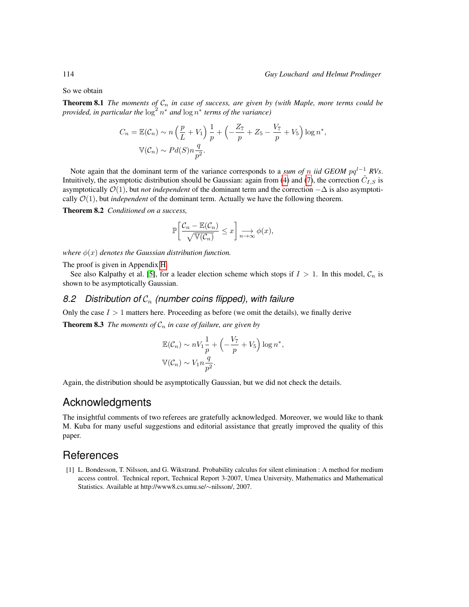So we obtain

**Theorem 8.1** *The moments of*  $C_n$  *in case of success, are given by (with Maple, more terms could be provided, in particular the*  $\log^2 n^*$  *and*  $\log n^*$  *terms of the variance*)

$$
C_n = \mathbb{E}(\mathcal{C}_n) \sim n\left(\frac{p}{L} + V_1\right)\frac{1}{p} + \left(-\frac{Z_7}{p} + Z_5 - \frac{V_7}{p} + V_5\right)\log n^*,
$$
  

$$
\mathbb{V}(\mathcal{C}_n) \sim Pd(S)n\frac{q}{p^2}.
$$

Note again that the dominant term of the variance corresponds to a *sum of* n *iid GEOM* pq<sup>l-1</sup> RVs. Intuitively, the asymptotic distribution should be Gaussian: again from [\(4\)](#page-20-0) and [\(7\)](#page-21-0), the correction  $\tilde{C}_{I,S}$  is asymptotically O(1), but *not independent* of the dominant term and the correction −∆ is also asymptotically  $\mathcal{O}(1)$ , but *independent* of the dominant term. Actually we have the following theorem.

Theorem 8.2 *Conditioned on a success,*

<span id="page-23-1"></span>
$$
\mathbb{P}\bigg[\frac{\mathcal{C}_n - \mathbb{E}(\mathcal{C}_n)}{\sqrt{\mathbb{V}(\mathcal{C}_n)}} \leq x\bigg] \underset{n \to \infty}{\longrightarrow} \phi(x),
$$

*where*  $\phi(x)$  *denotes the Gaussian distribution function.* 

The proof is given in Appendix [H.](#page-17-0)

See also Kalpathy et al. [\[5\]](#page-24-8), for a leader election scheme which stops if  $I > 1$ . In this model,  $C_n$  is shown to be asymptotically Gaussian.

## *8.2 Distribution of* C<sup>n</sup> *(number coins flipped), with failure*

Only the case  $I > 1$  matters here. Proceeding as before (we omit the details), we finally derive

**Theorem 8.3** *The moments of*  $C_n$  *in case of failure, are given by* 

$$
\mathbb{E}(\mathcal{C}_n) \sim nV_1 \frac{1}{p} + \left(-\frac{V_7}{p} + V_5\right) \log n^*,
$$
  

$$
\mathbb{V}(\mathcal{C}_n) \sim V_1 n \frac{q}{p^2}.
$$

Again, the distribution should be asymptotically Gaussian, but we did not check the details.

# Acknowledgments

The insightful comments of two referees are gratefully acknowledged. Moreover, we would like to thank M. Kuba for many useful suggestions and editorial assistance that greatly improved the quality of this paper.

# **References**

<span id="page-23-0"></span>[1] L. Bondesson, T. Nilsson, and G. Wikstrand. Probability calculus for silent elimination : A method for medium access control. Technical report, Technical Report 3-2007, Umea University, Mathematics and Mathematical Statistics. Available at http://www8.cs.umu.se/∼nilsson/, 2007.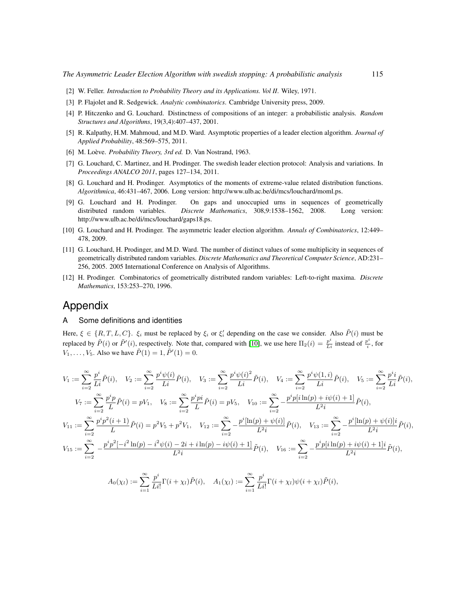- <span id="page-24-9"></span>[2] W. Feller. *Introduction to Probability Theory and its Applications. Vol II.* Wiley, 1971.
- <span id="page-24-10"></span>[3] P. Flajolet and R. Sedgewick. *Analytic combinatorics*. Cambridge University press, 2009.
- <span id="page-24-4"></span>[4] P. Hitczenko and G. Louchard. Distinctness of compositions of an integer: a probabilistic analysis. *Random Structures and Algorithms*, 19(3,4):407–437, 2001.
- <span id="page-24-8"></span>[5] R. Kalpathy, H.M. Mahmoud, and M.D. Ward. Asymptotic properties of a leader election algorithm. *Journal of Applied Probability*, 48:569–575, 2011.
- <span id="page-24-5"></span>[6] M. Loève. *Probability Theory, 3rd ed.* D. Van Nostrand, 1963.
- <span id="page-24-0"></span>[7] G. Louchard, C. Martinez, and H. Prodinger. The swedish leader election protocol: Analysis and variations. In *Proceedings ANALCO 2011*, pages 127–134, 2011.
- <span id="page-24-6"></span>[8] G. Louchard and H. Prodinger. Asymptotics of the moments of extreme-value related distribution functions. *Algorithmica*, 46:431–467, 2006. Long version: http://www.ulb.ac.be/di/mcs/louchard/moml.ps.
- <span id="page-24-2"></span>[9] G. Louchard and H. Prodinger. On gaps and unoccupied urns in sequences of geometrically distributed random variables. *Discrete Mathematics*, 308,9:1538–1562, 2008. Long version: http://www.ulb.ac.be/di/mcs/louchard/gaps18.ps.
- <span id="page-24-1"></span>[10] G. Louchard and H. Prodinger. The asymmetric leader election algorithm. *Annals of Combinatorics*, 12:449– 478, 2009.
- <span id="page-24-3"></span>[11] G. Louchard, H. Prodinger, and M.D. Ward. The number of distinct values of some multiplicity in sequences of geometrically distributed random variables. *Discrete Mathematics and Theoretical Computer Science*, AD:231– 256, 2005. 2005 International Conference on Analysis of Algorithms.
- <span id="page-24-7"></span>[12] H. Prodinger. Combinatorics of geometrically distributed random variables: Left-to-right maxima. *Discrete Mathematics*, 153:253–270, 1996.

## Appendix

#### A Some definitions and identities

Here,  $\xi \in \{R, T, L, C\}$ .  $\xi_i$  must be replaced by  $\xi_i$  or  $\xi'_i$  depending on the case we consider. Also  $\tilde{P}(i)$  must be replaced by  $\tilde{P}(i)$  or  $\tilde{P}'(i)$ , respectively. Note that, compared with [\[10\]](#page-24-1), we use here  $\Pi_2(i) = \frac{p^i}{Li}$  instead of  $\frac{p^i}{i}$  $\frac{\partial^2}{\partial x^i}$ , for  $V_1, \ldots, V_5$ . Also we have  $\tilde{P}(1) = 1, \tilde{P}'(1) = 0$ .

$$
V_{1} := \sum_{i=2}^{\infty} \frac{p^{i}}{Li} \tilde{P}(i), \quad V_{2} := \sum_{i=2}^{\infty} \frac{p^{i} \psi(i)}{Li} \tilde{P}(i), \quad V_{3} := \sum_{i=2}^{\infty} \frac{p^{i} \psi(i)^{2}}{Li} \tilde{P}(i), \quad V_{4} := \sum_{i=2}^{\infty} \frac{p^{i} \psi(1,i)}{Li} \tilde{P}(i), \quad V_{5} := \sum_{i=2}^{\infty} \frac{p^{i} i}{Li} \tilde{P}(i),
$$
  
\n
$$
V_{7} := \sum_{i=2}^{\infty} \frac{p^{i} p}{L} \tilde{P}(i) = pV_{1}, \quad V_{8} := \sum_{i=2}^{\infty} \frac{p^{i} p i}{L} \tilde{P}(i) = pV_{5}, \quad V_{10} := \sum_{i=2}^{\infty} -\frac{p^{i} p[i \ln(p) + i\psi(i) + 1]}{L^{2} i} \tilde{P}(i),
$$
  
\n
$$
V_{11} := \sum_{i=2}^{\infty} \frac{p^{i} p^{2}(i+1)}{L} \tilde{P}(i) = p^{2} V_{5} + p^{2} V_{1}, \quad V_{12} := \sum_{i=2}^{\infty} -\frac{p^{i} [\ln(p) + \psi(i)]}{L^{2} i} \tilde{P}(i), \quad V_{13} := \sum_{i=2}^{\infty} -\frac{p^{i} [\ln(p) + \psi(i)] i}{L^{2} i} \tilde{P}(i),
$$
  
\n
$$
V_{15} := \sum_{i=2}^{\infty} -\frac{p^{i} p^{2} [-i^{2} \ln(p) - i^{2} \psi(i) - 2i + i \ln(p) - i\psi(i) + 1]}{L^{2} i} \tilde{P}(i), \quad V_{16} := \sum_{i=2}^{\infty} -\frac{p^{i} p[i \ln(p) + i\psi(i) + 1] i}{L^{2} i} \tilde{P}(i),
$$
  
\n
$$
A_{0}(\chi_{l}) := \sum_{i=1}^{\infty} \frac{p^{i}}{Li} \Gamma(i + \chi_{l}) \tilde{P}(i), \quad A_{1
$$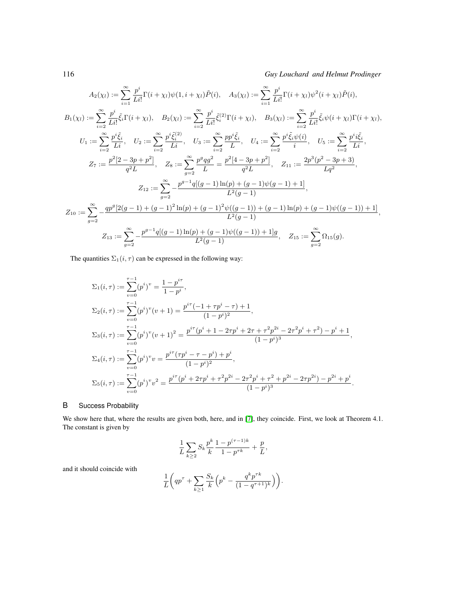116 *Guy Louchard and Helmut Prodinger*

$$
A_2(\chi_l) := \sum_{i=1}^{\infty} \frac{p^i}{Li!} \Gamma(i + \chi_l) \psi(1, i + \chi_l) \tilde{P}(i), \quad A_3(\chi_l) := \sum_{i=1}^{\infty} \frac{p^i}{Li!} \Gamma(i + \chi_l) \psi^2(i + \chi_l) \tilde{P}(i),
$$
  
\n
$$
B_1(\chi_l) := \sum_{i=2}^{\infty} \frac{p^i}{Li!} \tilde{\xi}_i \Gamma(i + \chi_l), \quad B_2(\chi_l) := \sum_{i=2}^{\infty} \frac{p^i}{Li!} \tilde{\xi}_i^{(2)} \Gamma(i + \chi_l), \quad B_3(\chi_l) := \sum_{i=2}^{\infty} \frac{p^i}{Li!} \tilde{\xi}_i \psi(i + \chi_l) \Gamma(i + \chi_l),
$$
  
\n
$$
U_1 := \sum_{i=2}^{\infty} \frac{p^i \tilde{\xi}_i}{Li}, \quad U_2 := \sum_{i=2}^{\infty} \frac{p^i \tilde{\xi}_i^{(2)}}{Li}, \quad U_3 := \sum_{i=2}^{\infty} \frac{pp^i \tilde{\xi}_i}{L}, \quad U_4 := \sum_{i=2}^{\infty} \frac{p^i \tilde{\xi}_i \psi(i)}{i}, \quad U_5 := \sum_{i=2}^{\infty} \frac{p^i i \tilde{\xi}_i}{Li},
$$
  
\n
$$
Z_7 := \frac{p^2[2 - 3p + p^2]}{q^2 L}, \quad Z_8 := \sum_{g=2}^{\infty} \frac{p^g q g^2}{L} = \frac{p^2[4 - 3p + p^2]}{q^2 L}, \quad Z_{11} := \frac{2p^3(p^2 - 3p + 3)}{Lq^2},
$$
  
\n
$$
Z_{12} := \sum_{g=2}^{\infty} -\frac{qp^g[2(g - 1) + (g - 1)^2 \ln(p) + (g - 1)^2 \psi((g - 1)) + (g - 1) \ln(p) + (g - 1) \psi((g - 1)) + 1]}{L^2(g - 1)},
$$
  
\n
$$
Z_{13} := \sum_{g=2}^{\infty} -\frac{p^{g-1}q[(g - 1)\ln(p) + (g -
$$

The quantities  $\Sigma_1(i, \tau)$  can be expressed in the following way:

$$
\Sigma_1(i,\tau) := \sum_{v=0}^{\tau-1} (p^i)^v = \frac{1-p^{i\tau}}{1-p^i},
$$
  
\n
$$
\Sigma_2(i,\tau) := \sum_{v=0}^{\tau-1} (p^i)^v (v+1) = \frac{p^{i\tau}(-1+\tau p^i-\tau)+1}{(1-p^i)^2},
$$
  
\n
$$
\Sigma_3(i,\tau) := \sum_{v=0}^{\tau-1} (p^i)^v (v+1)^2 = \frac{p^{i\tau}(p^i+1-2\tau p^i+2\tau+\tau^2 p^{2i}-2\tau^2 p^i+\tau^2)-p^i+1}{(1-p^i)^3},
$$
  
\n
$$
\Sigma_4(i,\tau) := \sum_{v=0}^{\tau-1} (p^i)^v v = \frac{p^{i\tau}(\tau p^i-\tau-p^i)+p^i}{(1-p^i)^2},
$$
  
\n
$$
\Sigma_5(i,\tau) := \sum_{v=0}^{\tau-1} (p^i)^v v^2 = \frac{p^{i\tau}(p^i+2\tau p^i+\tau^2 p^{2i}-2\tau^2 p^i+\tau^2+p^{2i}-2\tau p^{2i})-p^{2i}+p^i}{(1-p^i)^3}.
$$

#### B Success Probability

We show here that, where the results are given both, here, and in [\[7\]](#page-24-0), they coincide. First, we look at Theorem 4.1. The constant is given by

$$
\frac{1}{L} \sum_{k \geq 2} S_k \frac{p^k}{k} \frac{1 - p^{(\tau - 1)k}}{1 - p^{\tau k}} + \frac{p}{L},
$$

and it should coincide with

$$
\frac{1}{L} \bigg( q p^{\tau} + \sum_{k \geq 1} \frac{S_k}{k} \left( p^k - \frac{q^k p^{\tau k}}{(1 - q^{\tau + 1})^k} \right) \bigg).
$$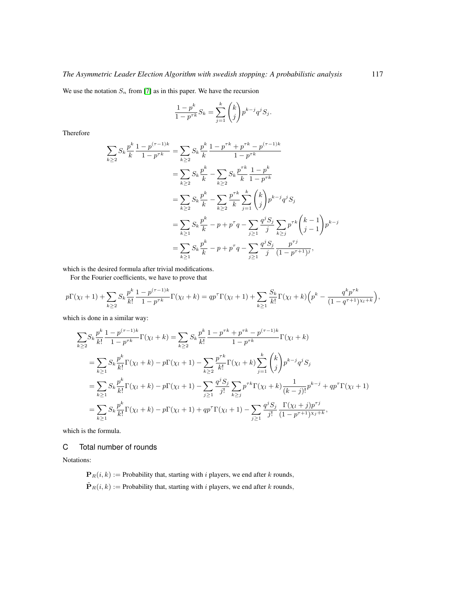We use the notation  $S_n$  from [\[7\]](#page-24-0) as in this paper. We have the recursion

$$
\frac{1-p^k}{1-p^{\tau k}}S_k = \sum_{j=1}^k {k \choose j} p^{k-j} q^j S_j.
$$

Therefore

$$
\sum_{k\geq 2} S_k \frac{p^k}{k} \frac{1 - p^{(\tau - 1)k}}{1 - p^{\tau k}} = \sum_{k\geq 2} S_k \frac{p^k}{k} \frac{1 - p^{\tau k} + p^{\tau k} - p^{(\tau - 1)k}}{1 - p^{\tau k}}
$$
  
\n
$$
= \sum_{k\geq 2} S_k \frac{p^k}{k} - \sum_{k\geq 2} S_k \frac{p^{\tau k}}{k} \frac{1 - p^k}{1 - p^{\tau k}}
$$
  
\n
$$
= \sum_{k\geq 2} S_k \frac{p^k}{k} - \sum_{k\geq 2} \frac{p^{\tau k}}{k} \sum_{j=1}^k {k \choose j} p^{k-j} q^j S_j
$$
  
\n
$$
= \sum_{k\geq 1} S_k \frac{p^k}{k} - p + p^{\tau} q - \sum_{j\geq 1} \frac{q^j S_j}{j} \sum_{k\geq j} p^{\tau k} {k-1 \choose j-1} p^{k-j}
$$
  
\n
$$
= \sum_{k\geq 1} S_k \frac{p^k}{k} - p + p^{\tau} q - \sum_{j\geq 1} \frac{q^j S_j}{j} \frac{p^{\tau j}}{(1 - p^{\tau + 1})^j},
$$

which is the desired formula after trivial modifications.

For the Fourier coefficients, we have to prove that

$$
p\Gamma(\chi_l+1)+\sum_{k\geq 2}S_k\frac{p^k}{k!}\frac{1-p^{(\tau-1)k}}{1-p^{\tau k}}\Gamma(\chi_l+k)=qp^{\tau}\Gamma(\chi_l+1)+\sum_{k\geq 1}\frac{S_k}{k!}\Gamma(\chi_l+k)\Big(p^k-\frac{q^kp^{\tau k}}{(1-q^{\tau+1})^{\chi_l+k}}\Big),
$$

which is done in a similar way:

$$
\sum_{k\geq 2} S_k \frac{p^k}{k!} \frac{1-p^{(\tau-1)k}}{1-p^{\tau k}} \Gamma(\chi_l + k) = \sum_{k\geq 2} S_k \frac{p^k}{k!} \frac{1-p^{\tau k} + p^{\tau k} - p^{(\tau-1)k}}{1-p^{\tau k}} \Gamma(\chi_l + k)
$$
  
\n
$$
= \sum_{k\geq 1} S_k \frac{p^k}{k!} \Gamma(\chi_l + k) - p \Gamma(\chi_l + 1) - \sum_{k\geq 2} \frac{p^{\tau k}}{k!} \Gamma(\chi_l + k) \sum_{j=1}^k {k \choose j} p^{k-j} q^j S_j
$$
  
\n
$$
= \sum_{k\geq 1} S_k \frac{p^k}{k!} \Gamma(\chi_l + k) - p \Gamma(\chi_l + 1) - \sum_{j\geq 1} \frac{q^j S_j}{j!} \sum_{k\geq j} p^{\tau k} \Gamma(\chi_l + k) \frac{1}{(k-j)!} p^{k-j} + qp^{\tau} \Gamma(\chi_l + 1)
$$
  
\n
$$
= \sum_{k\geq 1} S_k \frac{p^k}{k!} \Gamma(\chi_l + k) - p \Gamma(\chi_l + 1) + qp^{\tau} \Gamma(\chi_l + 1) - \sum_{j\geq 1} \frac{q^j S_j}{j!} \frac{\Gamma(\chi_l + j) p^{\tau j}}{(1 - p^{\tau + 1})^{\chi_j + k}},
$$

which is the formula.

C Total number of rounds

Notations:

 $\mathbf{P}_R(i, k) :=$  Probability that, starting with i players, we end after k rounds,  $\tilde{\mathbf{P}}_R(i,k) := \text{Probability that, starting with } i \text{ players, we end after } k \text{ rounds,}$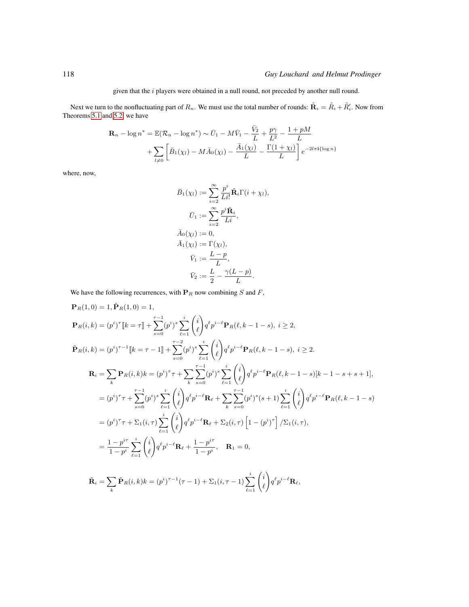given that the  $i$  players were obtained in a null round, not preceded by another null round.

Next we turn to the nonfluctuating part of  $R_n.$  We must use the total number of rounds:  $\tilde{\bf R}_i=\tilde R_i+\tilde R'_i.$  Now from Theorems [5.1](#page-9-0) and [5.2,](#page-10-0) we have

$$
\mathbf{R}_n - \log n^* = \mathbb{E}(\mathcal{R}_n - \log n^*) \sim \bar{U}_1 - M\bar{V}_1 - \frac{\bar{V}_2}{L} + \frac{p\gamma}{L^2} - \frac{1 + pM}{L} + \sum_{l \neq 0} \left[ \bar{B}_1(\chi_l) - M\bar{A}_0(\chi_l) - \frac{\bar{A}_1(\chi_l)}{L} - \frac{\Gamma(1 + \chi_l)}{L} \right] e^{-2l\pi i {\log n}}
$$

where, now,

$$
\bar{B}_1(\chi_l) := \sum_{i=2}^{\infty} \frac{p^i}{Li!} \tilde{\mathbf{R}}_i \Gamma(i + \chi_l),
$$
  
\n
$$
\bar{U}_1 := \sum_{i=2}^{\infty} \frac{p^i \tilde{\mathbf{R}}_i}{Li},
$$
  
\n
$$
\bar{A}_0(\chi_l) := 0,
$$
  
\n
$$
\bar{A}_1(\chi_l) := \Gamma(\chi_l),
$$
  
\n
$$
\bar{V}_1 := \frac{L - p}{L},
$$
  
\n
$$
\bar{V}_2 := \frac{L}{2} - \frac{\gamma(L - p)}{L}.
$$

We have the following recurrences, with  $P_R$  now combining  $S$  and  $F$ ,

$$
\mathbf{P}_{R}(1,0) = 1, \tilde{\mathbf{P}}_{R}(1,0) = 1,
$$
\n
$$
\mathbf{P}_{R}(i,k) = (p^{i})^{\tau} [k = \tau] + \sum_{s=0}^{\tau-1} (p^{i})^{s} \sum_{\ell=1}^{i} {i \choose \ell} q^{\ell} p^{i-\ell} \mathbf{P}_{R}(\ell,k-1-s), i \geq 2,
$$
\n
$$
\tilde{\mathbf{P}}_{R}(i,k) = (p^{i})^{\tau-1} [k = \tau-1] + \sum_{s=0}^{\tau-2} (p^{i})^{s} \sum_{\ell=1}^{i} {i \choose \ell} q^{\ell} p^{i-\ell} \mathbf{P}_{R}(\ell,k-1-s), i \geq 2.
$$
\n
$$
\mathbf{R}_{i} = \sum_{k} \mathbf{P}_{R}(i,k)k = (p^{i})^{\tau} \tau + \sum_{k} \sum_{s=0}^{\tau-1} (p^{i})^{s} \sum_{\ell=1}^{i} {i \choose \ell} q^{\ell} p^{i-\ell} \mathbf{P}_{R}(\ell,k-1-s) [k-1-s+s+1],
$$
\n
$$
= (p^{i})^{\tau} \tau + \sum_{s=0}^{\tau-1} (p^{i})^{s} \sum_{\ell=1}^{i} {i \choose \ell} q^{\ell} p^{i-\ell} \mathbf{R}_{\ell} + \sum_{k} \sum_{s=0}^{\tau-1} (p^{i})^{s} (s+1) \sum_{\ell=1}^{i} {i \choose \ell} q^{\ell} p^{i-\ell} \mathbf{P}_{R}(\ell,k-1-s)
$$
\n
$$
= (p^{i})^{\tau} \tau + \sum_{1} (i, \tau) \sum_{\ell=1}^{i} {i \choose \ell} q^{\ell} p^{i-\ell} \mathbf{R}_{\ell} + \sum_{2} (i, \tau) \left[ 1 - (p^{i})^{\tau} \right] / \sum_{1} (i, \tau),
$$
\n
$$
= \frac{1-p^{i\tau}}{1-p^{i}} \sum_{\ell=1}^{i} {i \choose \ell} q^{\ell} p^{i-\ell} \mathbf{R}_{\ell} + \frac{1-p^{i\tau}}{1-p^{i}}, \quad \mathbf{R}_{1} = 0,
$$
\n<math display="</math>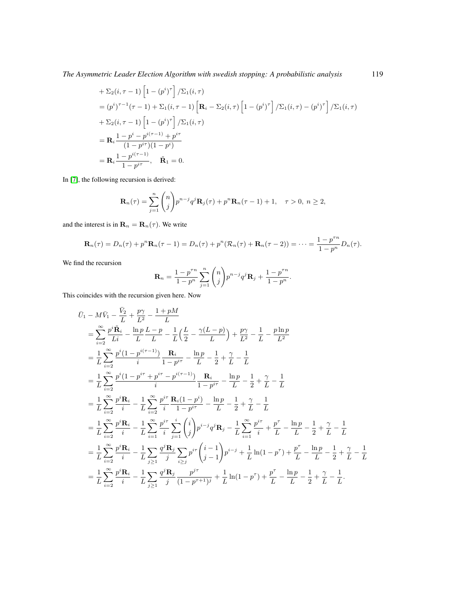*The Asymmetric Leader Election Algorithm with swedish stopping: A probabilistic analysis* 119

+ 
$$
\Sigma_2(i, \tau - 1) \left[ 1 - (p^i)^{\tau} \right] / \Sigma_1(i, \tau)
$$
  
\n=  $(p^i)^{\tau - 1} (\tau - 1) + \Sigma_1(i, \tau - 1) \left[ \mathbf{R}_i - \Sigma_2(i, \tau) \left[ 1 - (p^i)^{\tau} \right] / \Sigma_1(i, \tau) - (p^i)^{\tau} \right] / \Sigma_1(i, \tau)$   
\n+  $\Sigma_2(i, \tau - 1) \left[ 1 - (p^i)^{\tau} \right] / \Sigma_1(i, \tau)$   
\n=  $\mathbf{R}_i \frac{1 - p^i - p^{i(\tau - 1)} + p^{i\tau}}{(1 - p^{i\tau})(1 - p^i)}$   
\n=  $\mathbf{R}_i \frac{1 - p^{i(\tau - 1)}}{1 - p^{i\tau}}, \quad \tilde{\mathbf{R}}_1 = 0.$ 

In [\[7\]](#page-24-0), the following recursion is derived:

$$
\mathbf{R}_n(\tau) = \sum_{j=1}^n \binom{n}{j} p^{n-j} q^j \mathbf{R}_j(\tau) + p^n \mathbf{R}_n(\tau - 1) + 1, \quad \tau > 0, n \ge 2,
$$

and the interest is in  $\mathbf{R}_n = \mathbf{R}_n(\tau)$ . We write

$$
\mathbf{R}_n(\tau) = D_n(\tau) + p^n \mathbf{R}_n(\tau - 1) = D_n(\tau) + p^n (\mathcal{R}_n(\tau) + \mathbf{R}_n(\tau - 2)) = \dots = \frac{1 - p^{\tau n}}{1 - p^n} D_n(\tau).
$$

We find the recursion

$$
\mathbf{R}_n = \frac{1 - p^{\tau n}}{1 - p^n} \sum_{j=1}^n \binom{n}{j} p^{n-j} q^j \mathbf{R}_j + \frac{1 - p^{\tau n}}{1 - p^n}.
$$

This coincides with the recursion given here. Now

$$
\bar{U}_{1} - M\bar{V}_{1} - \frac{\bar{V}_{2}}{L} + \frac{p\gamma}{L^{2}} - \frac{1+pM}{L}\n= \sum_{i=2}^{\infty} \frac{p^{i}\tilde{\mathbf{R}}_{i}}{Li} - \frac{\ln p}{L} - \frac{p}{L} - \frac{1}{L} \left( \frac{L}{2} - \frac{\gamma(L-p)}{L} \right) + \frac{p\gamma}{L^{2}} - \frac{1}{L} - \frac{p\ln p}{L^{2}}\n= \frac{1}{L} \sum_{i=2}^{\infty} \frac{p^{i}(1-p^{i(\tau-1)})}{i} \frac{\mathbf{R}_{i}}{1-p^{i\tau}} - \frac{\ln p}{L} - \frac{1}{2} + \frac{\gamma}{L} - \frac{1}{L}\n= \frac{1}{L} \sum_{i=2}^{\infty} \frac{p^{i}(1-p^{i\tau}+p^{i\tau}-p^{i(\tau-1)})}{i} \frac{\mathbf{R}_{i}}{1-p^{i\tau}} - \frac{\ln p}{L} - \frac{1}{2} + \frac{\gamma}{L} - \frac{1}{L}\n= \frac{1}{L} \sum_{i=2}^{\infty} \frac{p^{i}\mathbf{R}_{i}}{i} - \frac{1}{L} \sum_{i=2}^{\infty} \frac{p^{i\tau}}{i} \frac{\mathbf{R}_{i}(1-p^{i})}{1-p^{i\tau}} - \frac{\ln p}{L} - \frac{1}{2} + \frac{\gamma}{L} - \frac{1}{L}\n= \frac{1}{L} \sum_{i=2}^{\infty} \frac{p^{i}\mathbf{R}_{i}}{i} - \frac{1}{L} \sum_{i=1}^{\infty} \frac{p^{i\tau}}{i} \sum_{j=1}^{\infty} \left( \frac{i}{j} \right) p^{i-j} q^{j} \mathbf{R}_{j} - \frac{1}{L} \sum_{i=1}^{\infty} \frac{p^{i\tau}}{i} + \frac{p^{\tau}}{L} - \frac{\ln p}{L} - \frac{1}{2} + \frac{\gamma}{L} - \frac{1}{L}\n= \frac{1}{L} \sum_{i=2}^{\infty} \frac{p^{i}\mathbf{R}_{i}}{i} - \frac{1}{L} \sum_{j\geq 1} \frac{q^{j}\mathbf{R}_{j}}{j} \sum_{i\geq j}
$$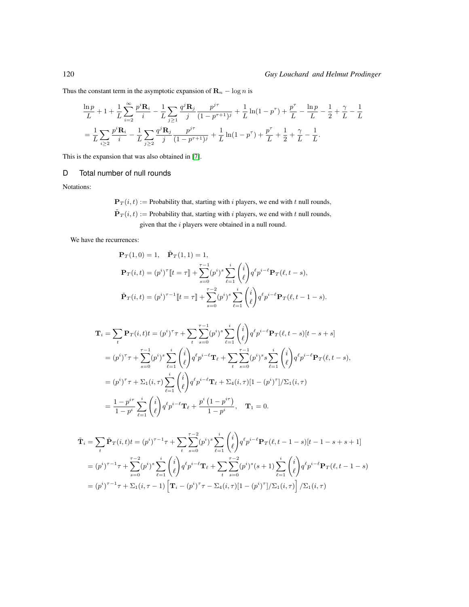Thus the constant term in the asymptotic expansion of  $\mathbf{R}_n - \log n$  is

$$
\frac{\ln p}{L} + 1 + \frac{1}{L} \sum_{i=2}^{\infty} \frac{p^i \mathbf{R}_i}{i} - \frac{1}{L} \sum_{j \ge 1} \frac{q^j \mathbf{R}_j}{j} \frac{p^{j\tau}}{(1 - p^{\tau + 1})^j} + \frac{1}{L} \ln(1 - p^{\tau}) + \frac{p^{\tau}}{L} - \frac{\ln p}{L} - \frac{1}{2} + \frac{\gamma}{L} - \frac{1}{L}
$$
\n
$$
= \frac{1}{L} \sum_{i \ge 2} \frac{p^i \mathbf{R}_i}{i} - \frac{1}{L} \sum_{j \ge 2} \frac{q^j \mathbf{R}_j}{j} \frac{p^{j\tau}}{(1 - p^{\tau + 1})^j} + \frac{1}{L} \ln(1 - p^{\tau}) + \frac{p^{\tau}}{L} + \frac{1}{2} + \frac{\gamma}{L} - \frac{1}{L}.
$$

This is the expansion that was also obtained in [\[7\]](#page-24-0).

#### D Total number of null rounds

Notations:

 $\mathbf{P}_T(i, t) :=$  Probability that, starting with i players, we end with t null rounds,  $\tilde{\mathbf{P}}_T(i, t) :=$  Probability that, starting with i players, we end with t null rounds, given that the  $i$  players were obtained in a null round.

We have the recurrences:

$$
\mathbf{P}_T(1,0) = 1, \quad \tilde{\mathbf{P}}_T(1,1) = 1,
$$
\n
$$
\mathbf{P}_T(i,t) = (p^i)^\tau \llbracket t = \tau \rrbracket + \sum_{s=0}^{\tau-1} (p^i)^s \sum_{\ell=1}^i \binom{i}{\ell} q^\ell p^{i-\ell} \mathbf{P}_T(\ell, t-s),
$$
\n
$$
\tilde{\mathbf{P}}_T(i,t) = (p^i)^{\tau-1} \llbracket t = \tau \rrbracket + \sum_{s=0}^{\tau-2} (p^i)^s \sum_{\ell=1}^i \binom{i}{\ell} q^\ell p^{i-\ell} \mathbf{P}_T(\ell, t-1-s).
$$

$$
\mathbf{T}_{i} = \sum_{t} \mathbf{P}_{T}(i, t) t = (p^{i})^{\tau} \tau + \sum_{t} \sum_{s=0}^{\tau-1} (p^{i})^{s} \sum_{\ell=1}^{i} {i \choose \ell} q^{\ell} p^{i-\ell} \mathbf{P}_{T}(\ell, t-s) [t-s+s]
$$
  
\n
$$
= (p^{i})^{\tau} \tau + \sum_{s=0}^{\tau-1} (p^{i})^{s} \sum_{\ell=1}^{i} {i \choose \ell} q^{\ell} p^{i-\ell} \mathbf{T}_{\ell} + \sum_{t} \sum_{s=0}^{\tau-1} (p^{i})^{s} s \sum_{\ell=1}^{i} {i \choose \ell} q^{\ell} p^{i-\ell} \mathbf{P}_{T}(\ell, t-s),
$$
  
\n
$$
= (p^{i})^{\tau} \tau + \sum_{1} (i, \tau) \sum_{\ell=1}^{i} {i \choose \ell} q^{\ell} p^{i-\ell} \mathbf{T}_{\ell} + \sum_{4} (i, \tau) [1 - (p^{i})^{\tau}] / \sum_{1} (i, \tau)
$$
  
\n
$$
= \frac{1 - p^{i\tau}}{1 - p^{i}} \sum_{\ell=1}^{i} {i \choose \ell} q^{\ell} p^{i-\ell} \mathbf{T}_{\ell} + \frac{p^{i} (1 - p^{i\tau})}{1 - p^{i}}, \quad \mathbf{T}_{1} = 0.
$$

$$
\tilde{\mathbf{T}}_{i} = \sum_{t} \tilde{\mathbf{P}}_{T}(i, t) t = (p^{i})^{\tau - 1} \tau + \sum_{t} \sum_{s=0}^{\tau - 2} (p^{i})^{s} \sum_{\ell=1}^{i} {i \choose \ell} q^{\ell} p^{i-\ell} \mathbf{P}_{T}(\ell, t - 1 - s)[t - 1 - s + s + 1]
$$
\n
$$
= (p^{i})^{\tau - 1} \tau + \sum_{s=0}^{\tau - 2} (p^{i})^{s} \sum_{\ell=1}^{i} {i \choose \ell} q^{\ell} p^{i-\ell} \mathbf{T}_{\ell} + \sum_{t} \sum_{s=0}^{\tau - 2} (p^{i})^{s} (s + 1) \sum_{\ell=1}^{i} {i \choose \ell} q^{\ell} p^{i-\ell} \mathbf{P}_{T}(\ell, t - 1 - s)
$$
\n
$$
= (p^{i})^{\tau - 1} \tau + \Sigma_{1}(i, \tau - 1) \left[ \mathbf{T}_{i} - (p^{i})^{\tau} \tau - \Sigma_{4}(i, \tau)[1 - (p^{i})^{\tau}]/\Sigma_{1}(i, \tau) \right] / \Sigma_{1}(i, \tau)
$$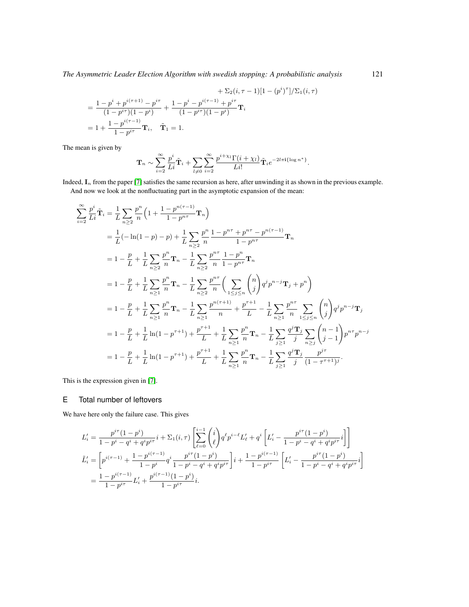*The Asymmetric Leader Election Algorithm with swedish stopping: A probabilistic analysis* 121

+ 
$$
\Sigma_2(i, \tau - 1)[1 - (p^i)^{\tau}]/\Sigma_1(i, \tau)
$$
  
\n=  $\frac{1 - p^i + p^{i(\tau + 1)} - p^{i\tau}}{(1 - p^{i\tau})(1 - p^i)} + \frac{1 - p^i - p^{i(\tau - 1)} + p^{i\tau}}{(1 - p^{i\tau})(1 - p^i)} \mathbf{T}_i$   
\n=  $1 + \frac{1 - p^{i(\tau - 1)}}{1 - p^{i\tau}} \mathbf{T}_i$ ,  $\tilde{\mathbf{T}}_1 = 1$ .

The mean is given by

$$
\mathbf{T}_n \sim \sum_{i=2}^{\infty} \frac{p^i}{Li} \tilde{\mathbf{T}}_i + \sum_{l \neq 0} \sum_{i=2}^{\infty} \frac{p^{i+\chi_l} \Gamma(i+\chi_l)}{Li!} \tilde{\mathbf{T}}_i e^{-2l\pi i {\{\log n^* \}}}.
$$

Indeed,  $I_n$  from the paper [\[7\]](#page-24-0) satisfies the same recursion as here, after unwinding it as shown in the previous example. And now we look at the nonfluctuating part in the asymptotic expansion of the mean:

$$
\sum_{i=2}^{\infty} \frac{p^{i}}{L_{i}} \tilde{\mathbf{T}}_{i} = \frac{1}{L} \sum_{n \geq 2} \frac{p^{n}}{n} \left( 1 + \frac{1 - p^{n(\tau - 1)}}{1 - p^{n\tau}} \mathbf{T}_{n} \right)
$$
  
\n
$$
= \frac{1}{L} (-\ln(1 - p) - p) + \frac{1}{L} \sum_{n \geq 2} \frac{p^{n}}{n} \frac{1 - p^{n\tau} + p^{n\tau} - p^{n(\tau - 1)}}{1 - p^{n\tau}} \mathbf{T}_{n}
$$
  
\n
$$
= 1 - \frac{p}{L} + \frac{1}{L} \sum_{n \geq 2} \frac{p^{n}}{n} \mathbf{T}_{n} - \frac{1}{L} \sum_{n \geq 2} \frac{p^{n\tau}}{n} \frac{1 - p^{n}}{1 - p^{n\tau}} \mathbf{T}_{n}
$$
  
\n
$$
= 1 - \frac{p}{L} + \frac{1}{L} \sum_{n \geq 1} \frac{p^{n}}{n} \mathbf{T}_{n} - \frac{1}{L} \sum_{n \geq 2} \frac{p^{n\tau}}{n} \left( \sum_{1 \leq j \leq n} \binom{n}{j} q^{j} p^{n-j} \mathbf{T}_{j} + p^{n} \right)
$$
  
\n
$$
= 1 - \frac{p}{L} + \frac{1}{L} \sum_{n \geq 1} \frac{p^{n}}{n} \mathbf{T}_{n} - \frac{1}{L} \sum_{n \geq 1} \frac{p^{n(\tau + 1)}}{n} + \frac{p^{\tau + 1}}{L} - \frac{1}{L} \sum_{n \geq 1} \frac{p^{n\tau}}{n} \sum_{1 \leq j \leq n} \binom{n}{j} q^{j} p^{n-j} \mathbf{T}_{j}
$$
  
\n
$$
= 1 - \frac{p}{L} + \frac{1}{L} \ln(1 - p^{\tau + 1}) + \frac{p^{\tau + 1}}{L} + \frac{1}{L} \sum_{n \geq 1} \frac{p^{n}}{n} \mathbf{T}_{n} - \frac{1}{L} \sum_{j \geq 1} \frac{q^{j} \mathbf{T}_{j}}{j} \sum_{n \geq j} \bin
$$

This is the expression given in [\[7\]](#page-24-0).

#### E Total number of leftovers

We have here only the failure case. This gives

$$
L'_{i} = \frac{p^{i\tau}(1-p^{i})}{1-p^{i} - q^{i} + q^{i}p^{i\tau}}i + \Sigma_{1}(i,\tau)\left[\sum_{\ell=0}^{i-1} {i \choose \ell} q^{\ell}p^{i-\ell}L'_{\ell} + q^{i}\left[L'_{i} - \frac{p^{i\tau}(1-p^{i})}{1-p^{i} - q^{i} + q^{i}p^{i\tau}}i\right]\right]
$$
  

$$
\tilde{L}'_{i} = \left[p^{i(\tau-1)} + \frac{1-p^{i(\tau-1)}}{1-p^{i}}q^{i}\frac{p^{i\tau}(1-p^{i})}{1-p^{i} - q^{i} + q^{i}p^{i\tau}}\right]i + \frac{1-p^{i(\tau-1)}}{1-p^{i\tau}}\left[L'_{i} - \frac{p^{i\tau}(1-p^{i})}{1-p^{i} - q^{i} + q^{i}p^{i\tau}}i\right]
$$
  

$$
= \frac{1-p^{i(\tau-1)}}{1-p^{i\tau}}L'_{i} + \frac{p^{i(\tau-1)}(1-p^{i})}{1-p^{i\tau}}i.
$$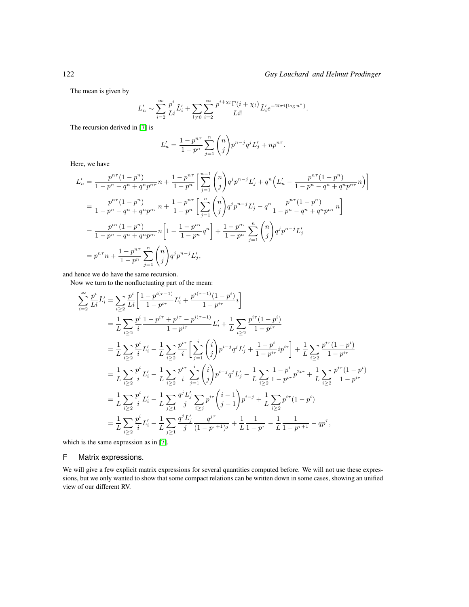The mean is given by

$$
L'_{n} \sim \sum_{i=2}^{\infty} \frac{p^{i}}{Li} \tilde{L}'_{i} + \sum_{l \neq 0} \sum_{i=2}^{\infty} \frac{p^{i+\chi_{l}} \Gamma(i+\chi_{l})}{Li!} \tilde{L}'_{i} e^{-2l\pi i {\{\log n^{*}\}}}.
$$

The recursion derived in [\[7\]](#page-24-0) is

$$
L'_{n} = \frac{1 - p^{n\tau}}{1 - p^{n}} \sum_{j=1}^{n} {n \choose j} p^{n-j} q^{j} L'_{j} + n p^{n\tau}.
$$

Here, we have

$$
L'_{n} = \frac{p^{n\tau}(1-p^{n})}{1-p^{n} - q^{n} + q^{n}p^{n\tau}} n + \frac{1-p^{n\tau}}{1-p^{n}} \left[ \sum_{j=1}^{n-1} {n \choose j} q^{j} p^{n-j} L'_{j} + q^{n} \left( L'_{n} - \frac{p^{n\tau}(1-p^{n})}{1-p^{n} - q^{n} + q^{n}p^{n\tau}} n \right) \right]
$$
  
\n
$$
= \frac{p^{n\tau}(1-p^{n})}{1-p^{n} - q^{n} + q^{n}p^{n\tau}} n + \frac{1-p^{n\tau}}{1-p^{n}} \left[ \sum_{j=1}^{n} {n \choose j} q^{j} p^{n-j} L'_{j} - q^{n} \frac{p^{n\tau}(1-p^{n})}{1-p^{n} - q^{n} + q^{n}p^{n\tau}} n \right]
$$
  
\n
$$
= \frac{p^{n\tau}(1-p^{n})}{1-p^{n} - q^{n} + q^{n}p^{n\tau}} n \left[ 1 - \frac{1-p^{n\tau}}{1-p^{n}} q^{n} \right] + \frac{1-p^{n\tau}}{1-p^{n}} \sum_{j=1}^{n} {n \choose j} q^{j} p^{n-j} L'_{j}
$$
  
\n
$$
= p^{n\tau} n + \frac{1-p^{n\tau}}{1-p^{n}} \sum_{j=1}^{n} {n \choose j} q^{j} p^{n-j} L'_{j},
$$

and hence we do have the same recursion.

Now we turn to the nonfluctuating part of the mean:

$$
\sum_{i=2}^{\infty} \frac{p^i}{Li} \tilde{L}'_i = \sum_{i \geq 2} \frac{p^i}{Li} \left[ \frac{1 - p^{i(\tau - 1)}}{1 - p^{i\tau}} L'_i + \frac{p^{i(\tau - 1)}(1 - p^i)}{1 - p^{i\tau}} i \right]
$$
  
\n
$$
= \frac{1}{L} \sum_{i \geq 2} \frac{p^i}{i} \frac{1 - p^{i\tau} + p^{i\tau} - p^{i(\tau - 1)}}{1 - p^{i\tau}} L'_i + \frac{1}{L} \sum_{i \geq 2} \frac{p^{i\tau} (1 - p^i)}{1 - p^{i\tau}}
$$
  
\n
$$
= \frac{1}{L} \sum_{i \geq 2} \frac{p^i}{i} L'_i - \frac{1}{L} \sum_{i \geq 2} \frac{p^{i\tau}}{i} \left[ \sum_{j=1}^i \binom{i}{j} p^{i-j} q^j L'_j + \frac{1 - p^i}{1 - p^{i\tau}} i p^{i\tau} \right] + \frac{1}{L} \sum_{i \geq 2} \frac{p^{i\tau} (1 - p^i)}{1 - p^{i\tau}}
$$
  
\n
$$
= \frac{1}{L} \sum_{i \geq 2} \frac{p^i}{i} L'_i - \frac{1}{L} \sum_{i \geq 2} \frac{p^{i\tau}}{i} \sum_{j=1}^i \binom{i}{j} p^{i-j} q^j L'_j - \frac{1}{L} \sum_{i \geq 2} \frac{1 - p^i}{1 - p^{i\tau}} p^{2i\tau} + \frac{1}{L} \sum_{i \geq 2} \frac{p^{i\tau} (1 - p^i)}{1 - p^{i\tau}}
$$
  
\n
$$
= \frac{1}{L} \sum_{i \geq 2} \frac{p^i}{i} L'_i - \frac{1}{L} \sum_{j \geq 1} \frac{q^j L'_j}{j} \sum_{i \geq j} p^{i\tau} \binom{i-1}{j-1} p^{i-j} + \frac{1}{L} \sum_{i \geq 2} p^{i\tau} (1 - p^i)
$$
  
\n
$$
= \frac{1}{L} \sum_{i \geq 2} \frac{p^i}{i} L'_
$$

which is the same expression as in [\[7\]](#page-24-0).

#### F Matrix expressions.

We will give a few explicit matrix expressions for several quantities computed before. We will not use these expressions, but we only wanted to show that some compact relations can be written down in some cases, showing an unified view of our different RV.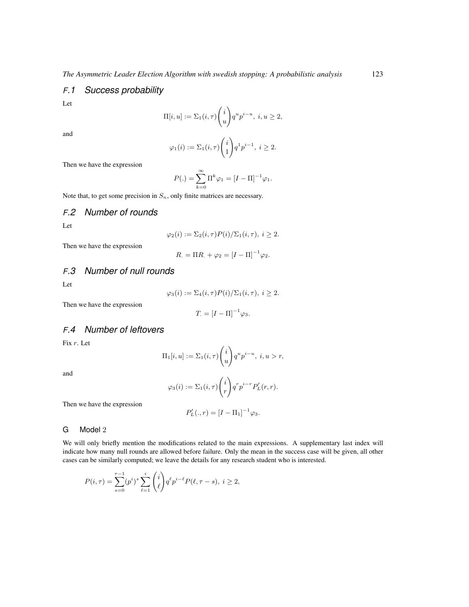### *F.1 Success probability*

Let

$$
\Pi[i, u] := \Sigma_1(i, \tau) \binom{i}{u} q^u p^{i-u}, \ i, u \ge 2,
$$

and

$$
\varphi_1(i) := \Sigma_1(i,\tau) \binom{i}{1} q^1 p^{i-1}, \ i \ge 2.
$$

Then we have the expression

$$
P(.) = \sum_{k=0}^{\infty} \Pi^{k} \varphi_1 = [I - \Pi]^{-1} \varphi_1.
$$

Note that, to get some precision in  $S_n$ , only finite matrices are necessary.

## *F.2 Number of rounds*

Let

$$
\varphi_2(i) := \Sigma_2(i,\tau)P(i)/\Sigma_1(i,\tau), i \ge 2.
$$

Then we have the expression

$$
R_{.} = \Pi R_{.} + \varphi_2 = [I - \Pi]^{-1} \varphi_2.
$$

## *F.3 Number of null rounds*

Let

$$
\varphi_3(i) := \Sigma_4(i,\tau)P(i)/\Sigma_1(i,\tau), i \ge 2.
$$

Then we have the expression

$$
T = [I - \Pi]^{-1} \varphi_3.
$$

# *F.4 Number of leftovers*

Fix r. Let

$$
\Pi_1[i, u] := \Sigma_1(i, \tau) \binom{i}{u} q^u p^{i-u}, \ i, u > r,
$$

and

$$
\varphi_3(i) := \Sigma_1(i,\tau) \binom{i}{r} q^r p^{i-r} P'_L(r,r).
$$

Then we have the expression

$$
P'_{L}(.,r)=[I-\Pi_1]^{-1}\varphi_3.
$$

#### G Model 2

We will only briefly mention the modifications related to the main expressions. A supplementary last index will indicate how many null rounds are allowed before failure. Only the mean in the success case will be given, all other cases can be similarly computed; we leave the details for any research student who is interested.

$$
P(i,\tau) = \sum_{s=0}^{\tau-1} (p^i)^s \sum_{\ell=1}^i \binom{i}{\ell} q^{\ell} p^{i-\ell} P(\ell, \tau - s), \ i \ge 2,
$$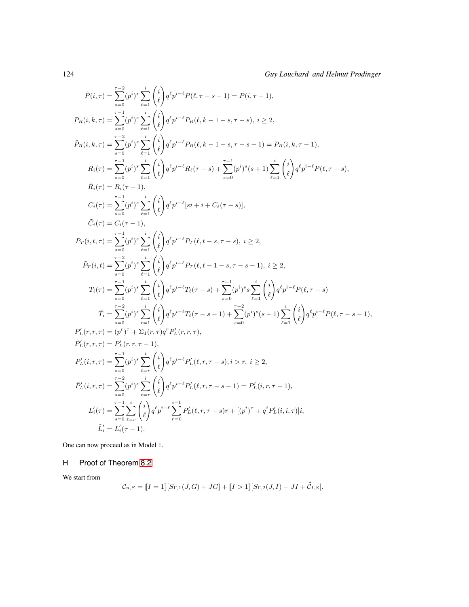$$
\begin{split} \hat{P}(i,\tau) &= \sum_{s=0}^{\tau-2} (p^i)^s \sum_{\ell=1}^i \binom{i}{\ell} q^{\ell} p^{i-\ell} P(\ell,\tau-s-1) = P(i,\tau-1),\\ P_R(i,k,\tau) &= \sum_{s=0}^{\tau-1} (p^i)^s \sum_{\ell=1}^i \binom{i}{\ell} q^{\ell} p^{i-\ell} P_R(\ell,k-1-s,\tau-s),\ i\geq 2,\\ \hat{P}_R(i,k,\tau) &= \sum_{s=0}^{\tau-2} (p^i)^s \sum_{\ell=1}^i \binom{i}{\ell} q^{\ell} p^{i-\ell} P_R(\ell,k-1-s,\tau-s-1) = P_R(i,k,\tau-1),\\ R_i(\tau) &= \sum_{s=0}^{\tau-1} (p^i)^s \sum_{\ell=1}^i \binom{i}{\ell} q^{\ell} p^{i-\ell} R_\ell(\tau-s) + \sum_{s=0}^{\tau-1} (p^i)^s (s+1) \sum_{\ell=1}^i \binom{i}{\ell} q^{\ell} p^{i-\ell} P(\ell,\tau-s),\\ \tilde{R}_i(\tau) &= R_i(\tau-1),\\ C_i(\tau) &= \sum_{s=0}^{\tau-1} (p^i)^s \sum_{\ell=1}^i \binom{i}{\ell} q^{\ell} p^{i-\ell} [si+i+C_\ell(\tau-s)],\\ P_T(i,t,\tau) &= \sum_{s=0}^{\tau-1} (p^i)^s \sum_{\ell=1}^i \binom{i}{\ell} q^{\ell} p^{i-\ell} P_T(\ell,t-s,\tau-s),\ i\geq 2,\\ \hat{P}_T(i,t) &= \sum_{s=0}^{\tau-1} (p^i)^s \sum_{\ell=1}^i \binom{i}{\ell} q^{\ell} p^{i-\ell} P_T(\ell,t-1-s,\tau-s-1),\ i\geq 2,\\ T_i(\tau) &= \sum_{s=0}^{\tau-1} (p^i)^s \sum_{\ell=1}^i \binom{i}{\ell} q^{\ell} p^{i-\ell} P_\ell(\ell,t-1-s,\tau-s-1),\ i\geq 2,\\ T_i(\tau) &= \sum_{\ell=0}^{\tau-1} (p^i)^s \sum_{\ell=1}^i \binom{i}{\ell} q^{\ell} p^{i-\ell} P_\ell(\ell,s-1) + \sum_{s=0}^{\tau-
$$

One can now proceed as in Model 1.

#### H Proof of Theorem [8.2](#page-23-1)

We start from

$$
\mathcal{C}_{n,S} = [I = 1][S_{\Gamma,1}(J,G) + JG] + [I > 1][S_{\Gamma,2}(J,I) + JI + \tilde{C}_{I,S}].
$$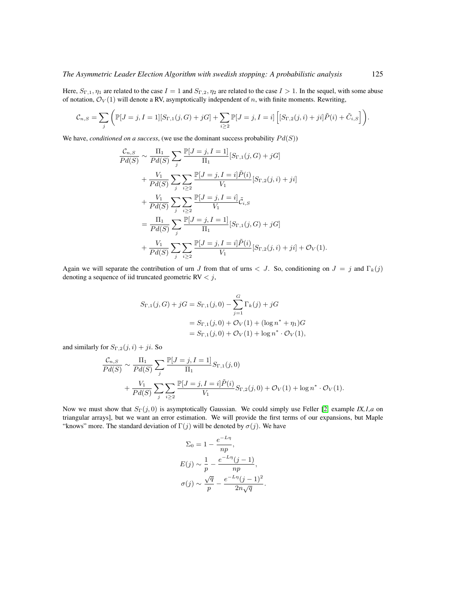Here,  $S_{\Gamma,1}, \eta_1$  are related to the case  $I = 1$  and  $S_{\Gamma,2}, \eta_2$  are related to the case  $I > 1$ . In the sequel, with some abuse of notation,  $\mathcal{O}_V(1)$  will denote a RV, asymptotically independent of n, with finite moments. Rewriting,

$$
\mathcal{C}_{n,S} = \sum_{j} \left( \mathbb{P}[J=j, I=1][S_{\Gamma,1}(j,G) + jG] + \sum_{i \geq 2} \mathbb{P}[J=j, I=i] \left[ [S_{\Gamma,2}(j,i) + ji] \tilde{P}(i) + \tilde{C}_{i,S} \right] \right).
$$

We have, *conditioned on a success*, (we use the dominant success probability  $Pd(S)$ )

$$
\frac{\mathcal{C}_{n,S}}{Pd(S)} \sim \frac{\Pi_1}{Pd(S)} \sum_{j} \frac{\mathbb{P}[J=j, I=1]}{\Pi_1} [S_{\Gamma,1}(j, G) + jG] \n+ \frac{V_1}{Pd(S)} \sum_{j} \sum_{i \geq 2} \frac{\mathbb{P}[J=j, I=i] \tilde{P}(i)}{V_1} [S_{\Gamma,2}(j, i) + ji] \n+ \frac{V_1}{Pd(S)} \sum_{j} \sum_{i \geq 2} \frac{\mathbb{P}[J=j, I=i]}{V_1} \tilde{\mathcal{C}}_{i,S} \n= \frac{\Pi_1}{Pd(S)} \sum_{j} \frac{\mathbb{P}[J=j, I=1]}{\Pi_1} [S_{\Gamma,1}(j, G) + jG] \n+ \frac{V_1}{Pd(S)} \sum_{j} \sum_{i \geq 2} \frac{\mathbb{P}[J=j, I=i] \tilde{P}(i)}{V_1} [S_{\Gamma,2}(j, i) + ji] + \mathcal{O}_V(1).
$$

Again we will separate the contribution of urn J from that of urns  $\langle J. \text{So, conditioning on } J = j \text{ and } \Gamma_k(j) \rangle$ denoting a sequence of iid truncated geometric  $RV < j$ ,

$$
S_{\Gamma,1}(j,G) + jG = S_{\Gamma,1}(j,0) - \sum_{j=1}^{G} \Gamma_k(j) + jG
$$
  
=  $S_{\Gamma,1}(j,0) + \mathcal{O}_V(1) + (\log n^* + \eta_1)G$   
=  $S_{\Gamma,1}(j,0) + \mathcal{O}_V(1) + \log n^* \cdot \mathcal{O}_V(1),$ 

and similarly for  $S_{\Gamma,2}(j,i) + ji$ . So

$$
\frac{\mathcal{C}_{n,S}}{Pd(S)} \sim \frac{\Pi_1}{Pd(S)} \sum_j \frac{\mathbb{P}[J=j, I=1]}{\Pi_1} S_{\Gamma,1}(j,0) \n+ \frac{V_1}{Pd(S)} \sum_j \sum_{i\geq 2} \frac{\mathbb{P}[J=j, I=i] \tilde{P}(i)}{V_1} S_{\Gamma,2}(j,0) + \mathcal{O}_V(1) + \log n^* \cdot \mathcal{O}_V(1).
$$

Now we must show that  $S_{\Gamma}(j, 0)$  is asymptotically Gaussian. We could simply use Feller [\[2,](#page-24-9) example *IX,1,a* on triangular arrays], but we want an error estimation. We will provide the first terms of our expansions, but Maple "knows" more. The standard deviation of  $\Gamma(j)$  will be denoted by  $\sigma(j)$ . We have

$$
\Sigma_0 = 1 - \frac{e^{-L\eta}}{np},
$$
  
\n
$$
E(j) \sim \frac{1}{p} - \frac{e^{-L\eta}(j-1)}{np},
$$
  
\n
$$
\sigma(j) \sim \frac{\sqrt{q}}{p} - \frac{e^{-L\eta}(j-1)^2}{2n\sqrt{q}}.
$$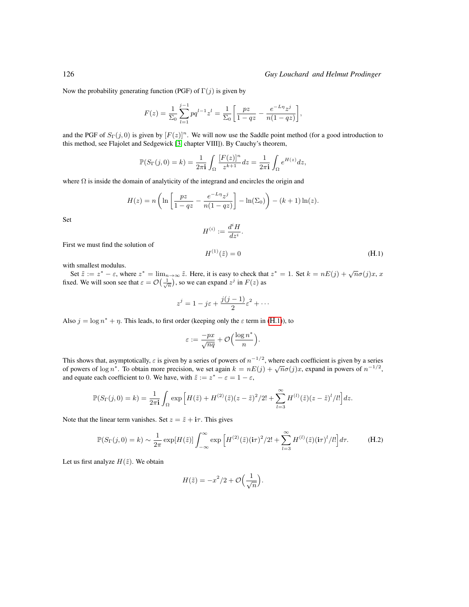#### 126 *Guy Louchard and Helmut Prodinger*

Now the probability generating function (PGF) of  $\Gamma(j)$  is given by

$$
F(z) = \frac{1}{\Sigma_0} \sum_{l=1}^{j-1} p q^{l-1} z^l = \frac{1}{\Sigma_0} \left[ \frac{pz}{1-qz} - \frac{e^{-L\eta} z^j}{n(1-qz)} \right],
$$

and the PGF of  $S_{\Gamma}(j, 0)$  is given by  $[F(z)]^n$ . We will now use the Saddle point method (for a good introduction to this method, see Flajolet and Sedgewick [\[3,](#page-24-10) chapter VIII]). By Cauchy's theorem,

$$
\mathbb{P}(S_{\Gamma}(j,0) = k) = \frac{1}{2\pi i} \int_{\Omega} \frac{[F(z)]^n}{z^{k+1}} dz = \frac{1}{2\pi i} \int_{\Omega} e^{H(z)} dz,
$$

where  $\Omega$  is inside the domain of analyticity of the integrand and encircles the origin and

$$
H(z) = n\left(\ln\left[\frac{pz}{1-qz} - \frac{e^{-L\eta}z^j}{n(1-qz)}\right] - \ln(\Sigma_0)\right) - (k+1)\ln(z).
$$

Set

$$
H^{(i)}:=\frac{d^iH}{dz^i}.
$$

First we must find the solution of

<span id="page-35-0"></span>
$$
H^{(1)}(\tilde{z}) = 0 \tag{H.1}
$$

with smallest modulus.

Set  $\tilde{z} := z^* - \varepsilon$ , where  $z^* = \lim_{n \to \infty} \tilde{z}$ . Here, it is easy to check that  $z^* = 1$ . Set  $k = nE(j) + \sqrt{n}\sigma(j)x$ , x fixed. We will soon see that  $\varepsilon = \mathcal{O}\left(\frac{1}{\sqrt{n}}\right)$ , so we can expand  $z^j$  in  $F(z)$  as

$$
z^{j} = 1 - j\varepsilon + \frac{j(j-1)}{2}\varepsilon^{2} + \cdots
$$

Also  $j = \log n^* + \eta$ . This leads, to first order (keeping only the  $\varepsilon$  term in ([H](#page-35-0).1)), to

$$
\varepsilon := \frac{-px}{\sqrt{nq}} + \mathcal{O}\Big(\frac{\log n^*}{n}\Big).
$$

This shows that, asymptotically,  $\varepsilon$  is given by a series of powers of  $n^{-1/2}$ , where each coefficient is given by a series This shows that, asymptotically,  $\varepsilon$  is given by a series of powers of  $n + \ell$ , where each coefficient is given by a series of powers of  $n^{-1/2}$ , or powers of  $n^{-1/2}$ ,  $\sigma$  of powers of  $n^{-1/2}$ . and equate each coefficient to 0. We have, with  $\tilde{z} := z^* - \varepsilon = 1 - \varepsilon$ ,

$$
\mathbb{P}(S_{\Gamma}(j,0) = k) = \frac{1}{2\pi i} \int_{\Omega} \exp\left[H(\tilde{z}) + H^{(2)}(\tilde{z})(z - \tilde{z})^2/2! + \sum_{l=3}^{\infty} H^{(l)}(\tilde{z})(z - \tilde{z})^l/l!\right] dz.
$$

Note that the linear term vanishes. Set  $z = \tilde{z} + i\tau$ . This gives

$$
\mathbb{P}(S_{\Gamma}(j,0) = k) \sim \frac{1}{2\pi} \exp[H(\tilde{z})] \int_{-\infty}^{\infty} \exp\left[H^{(2)}(\tilde{z})(i\tau)^{2}/2! + \sum_{l=3}^{\infty} H^{(l)}(\tilde{z})(i\tau)^{l}/l!\right] d\tau.
$$
 (H.2)

Let us first analyze  $H(\tilde{z})$ . We obtain

<span id="page-35-1"></span>
$$
H(\tilde{z}) = -x^2/2 + \mathcal{O}\left(\frac{1}{\sqrt{n}}\right).
$$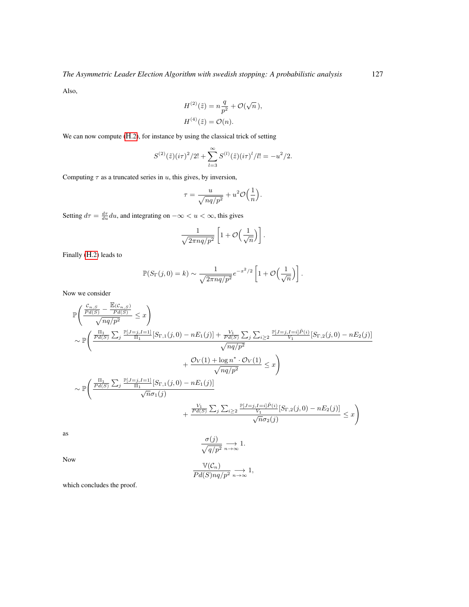Also,

$$
H^{(2)}(\tilde{z}) = n\frac{q}{p^2} + \mathcal{O}(\sqrt{n}),
$$
  

$$
H^{(4)}(\tilde{z}) = \mathcal{O}(n).
$$

We can now compute ([H](#page-35-1).2), for instance by using the classical trick of setting

$$
S^{(2)}(\tilde{z})(i\tau)^{2}/2! + \sum_{l=3}^{\infty} S^{(l)}(\tilde{z})(i\tau)^{l}/l! = -u^{2}/2.
$$

Computing  $\tau$  as a truncated series in u, this gives, by inversion,

$$
\tau = \frac{u}{\sqrt{nq/p^2}} + u^2 \mathcal{O}\Big(\frac{1}{n}\Big).
$$

Setting  $d\tau = \frac{d\tau}{du} du$ , and integrating on  $-\infty < u < \infty$ , this gives

$$
\frac{1}{\sqrt{2\pi nq/p^2}} \left[1 + \mathcal{O}\left(\frac{1}{\sqrt{n}}\right)\right].
$$

Finally (H[.2\)](#page-35-1) leads to

$$
\mathbb{P}(S_{\Gamma}(j,0)=k) \sim \frac{1}{\sqrt{2\pi n q/p^2}} e^{-x^2/2} \left[1 + \mathcal{O}\left(\frac{1}{\sqrt{n}}\right)\right].
$$

Now we consider

$$
\mathbb{P}\left(\frac{\frac{C_{n,S}}{Pd(S)} - \frac{\mathbb{E}(C_{n,S})}{Pd(S)}}{\sqrt{nq/p^2}} \leq x\right) \sim \mathbb{P}\left(\frac{\frac{\Pi_1}{Pd(S)}\sum_j \frac{\mathbb{P}[J=j,I=1]}{\Pi_1}[S_{\Gamma,1}(j,0) - nE_1(j)] + \frac{V_1}{Pd(S)}\sum_j \sum_{i\geq 2} \frac{\mathbb{P}[J=j,I=i]\tilde{P}(i)}{V_1}[S_{\Gamma,2}(j,0) - nE_2(j)]}{\sqrt{nq/p^2}} + \frac{\mathcal{O}_V(1) + \log n^* \cdot \mathcal{O}_V(1)}{\sqrt{nq/p^2}} \leq x\right) \sim \mathbb{P}\left(\frac{\frac{\Pi_1}{Pd(S)}\sum_j \frac{\mathbb{P}[J=j,I=1]}{\Pi_1}[S_{\Gamma,1}(j,0) - nE_1(j)]}{\sqrt{n}\sigma_1(j)} + \frac{\frac{V_1}{Pd(S)}\sum_j \sum_{i\geq 2} \frac{\mathbb{P}[J=j,I=i]\tilde{P}(i)}{V_1}[S_{\Gamma,2}(j,0) - nE_2(j)]}{\sqrt{n}\sigma_2(j)} \leq x\right)
$$

as

$$
\frac{\sigma(j)}{\sqrt{q/p^2}} \underset{n \to \infty}{\longrightarrow} 1.
$$

Now

$$
\frac{\mathbb{V}(\mathcal{C}_n)}{Pd(S)nq/p^2} \underset{n \to \infty}{\longrightarrow} 1,
$$

which concludes the proof.